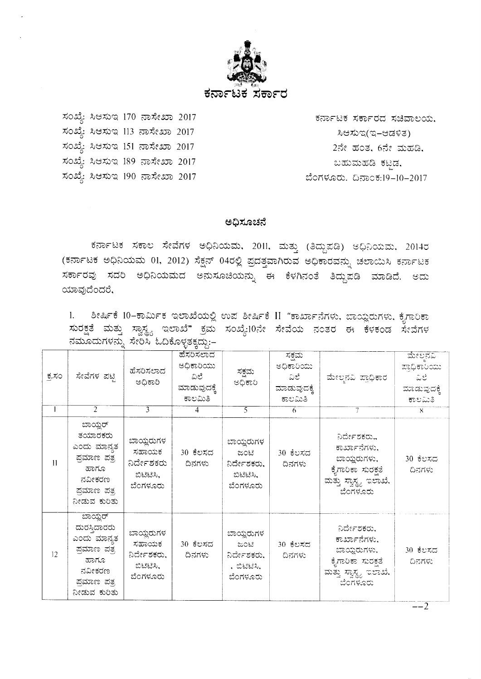

ಸಂಖ್ಯೆ: ಸಿಆಸುಇ 170 ನಾಸೇಖಾ 2017 ಸಂಖ್ಯೆ: ಸಿಆಸುಇ 113 ನಾಸೇಖಾ 2017 ಸಂಖ್ಯೆ: ಸಿಆಸುಇ 151 ನಾಸೇಖಾ 2017 ಸಂಖ್ಯೆ: ಸಿಆಸುಇ 189 ನಾಸೇಖಾ 2017 ಸಂಖ್ಯೆ: ಸಿಆಸುಇ 190 ನಾಸೇಖಾ 2017

ಕರ್ನಾಟಕ ಸರ್ಕಾರದ ಸಚಿವಾಲಯ. ಸಿಆಸುಇ(ಇ–ಆಡಳಿತ) 2ನೇ ಹಂತ, 6ನೇ ಮಹಡಿ, ಬಹುಮಹಡಿ ಕಟ್ಟಡ, ಬೆಂಗಳೂರು. ದಿನಾಂಕ:19-10-2017

#### ಅಧಿಸೂಚನೆ

ಕರ್ನಾಟಕ ಸಕಾಲ ಸೇವೆಗಳ ಅಧಿನಿಯಮ, 2011, ಮತ್ತು (ತಿದ್ದುಪಡಿ) ಆಧಿನಿಯಮ, 2014ರ (ಕರ್ನಾಟಕ ಅಧಿನಿಯಮ 01, 2012) ಸೆಕ್ಷನ್ 04ರಲ್ಲಿ ಪ್ರದತ್ತವಾಗಿರುವ ಅಧಿಕಾರವನ್ನು ಚಲಾಯಿಸಿ ಕರ್ನಾಟಕ ಸರ್ಕಾರವು ಸದರಿ ಅಧಿನಿಯಮದ ಅನುಸೂಚಿಯನ್ನು ಈ ಕೆಳಗಿನಂತೆ ತಿದ್ದುಪಡಿ ಮಾಡಿದೆ. ಅದು ಯಾವುದೆಂದರೆ,

ಶೀರ್ಷಿಕೆ 10–ಕಾರ್ಮಿಕ ಇಲಾಖೆಯಲ್ಲಿ ಉಪ ಶೀರ್ಷಿಕೆ II "ಕಾರ್ಖಾನೆಗಳು, ಬಾಯ್ಲರುಗಳು, ಕೈಗಾರಿಕಾ  $1.$ ಸುರಕ್ಷತೆ ಮತ್ತು ಸ್ವಾಸ್ಥ್ಯ ಇಲಾಖೆ" ಕ್ರಮ ಸಂಖ್ಯೆ:10ನೇ ಸೇವೆಯ ನಂತರ ಈ ಕೆಳಕಂಡ ಸೇವೆಗಳ ನಮೂದುಗಳನ್ನು ಸೇರಿಸಿ ಓದಿಕೊಳ್ಳತಕ್ಕದ್ದು:-

| ಕ್ಕಸಂ | ಸೇವೆಗಳ ಪಟ್ಟಿ                                                                                           | ಹೆಸರಿಸಲಾದ<br>ಅಧಿಕಾರಿ                                      | ಹೆಸರಿಸಲಾದ<br>ಅಧಿಕಾರಿಯು<br>ವಿಲೆ<br>ಮಾಡುವುದಕ್ಕೆ<br>ಕಾಲಮಿತಿ | ಸಕ್ಷಮ<br>ಅಧಿಕಾರಿ                                            | ಸಕಮ<br>ಅಧಿಕಾರಿಯು<br>-ವಿಲೆ -<br>ಮಾಡುವುದಕ್ಕೆ<br>ಕಾಲಮಿತಿ | ಮೇಲ್ಪನವಿ ಪ್ರಾಧಿಕಾರ                                                                                     | ಮೇಲನವಿ<br>ಪಾಧಿಕಾರಿಯು<br>ುವಿಲೆ :<br>ಮಾಡುವುದಕ್ಕೆ<br>ಕಾಲಮಿತಿ |
|-------|--------------------------------------------------------------------------------------------------------|-----------------------------------------------------------|----------------------------------------------------------|-------------------------------------------------------------|-------------------------------------------------------|--------------------------------------------------------------------------------------------------------|-----------------------------------------------------------|
|       | 2                                                                                                      | 3                                                         | 4                                                        | 5.                                                          | 6                                                     |                                                                                                        | $\overline{R}$                                            |
| 11    | ಬಾಯ್ಲರ್<br>ತಯಾರಕರು<br>ಎಂದು ಮಾನ್ಯತ<br>ಪಮಾಣ ಪತ್ತ<br>ಹಾಗೂ<br>ನವೀಕರಣ<br>ಪ್ರಮಾಣ ಪತ್ರ<br>ನೀಡುವ ಕುರಿತು        | ಬಾಯ್ದರುಗಳ<br>ಸಹಾಯಕ<br>ನಿರ್ದೇಶಕರು<br>ಬಿಟಿಟಿಸಿ,<br>ಬೆಂಗಳೂರು | 30 ಕೆಲಸದ<br>ದಿನಗಳು                                       | ಬಾಯ್ದರುಗಳ<br>ಜಂಟಿ<br>ನಿರ್ದೇಶಕರು,<br>ಬಿಟಿಟಿಸಿ,<br>ಬೆಂಗಳೂರು   | 30 ಕೆಲಸದ<br>ದಿನಗಳು                                    | ನಿರ್ದೇಶಕರು,,<br>ಕಾರ್ಖಾನೆಗಳು,<br>ಬಾಯ್ದರುಗಳು,<br>ಕೈಗಾರಿಕಾ ಸುರಕ್ಷತೆ<br>ಮತ್ತು ಸ್ವಾಸ್ಥ್ಯ ಇಲಾಖೆ,<br>ಬೆಂಗಳೂರು | 30 ಕೆಲಸದ<br>ದಿನಗಳು                                        |
| 12    | ಪಾಯ್ಡರ್<br>ದುರಸ್ತಿದಾರರು<br>ಎಂದು ಮಾನ್ಯತ<br>ಪ್ರಮಾಣ ಪತ್ರ<br>ಹಾಗೂ<br>ನವೀಕರಣ<br>ಪ್ರಮಾಣ ಪತ್ರ<br>ನೀಡುವ ಕುರಿತು | ಬಾಯ್ತರುಗಳ<br>ಸಹಾಯಕ<br>ನಿರ್ದೇಶಕರು,<br>ಬಿಟಟಿಸಿ,<br>ಬೆಂಗಳೂರು | 30 ಕೆಲಸದ<br>ದಿನಗಳು                                       | ಬಾಯ್ವರುಗಳ<br>ಜಂಟಿ<br>ನಿರ್ದೇಶಕರು,<br>. ಬಿಟಿಟಿಸಿ.<br>ಬೆಂಗಳೂರು | 30 ಕೆಲಸದ<br>ದಿನಗಳು                                    | ನಿರ್ದೇಶಕರು,<br>ಕಾರ್ಖಾನೆಗಳು,<br>ಬಾಯ್ತರುಗಳು,<br>ಕೈಗಾರಿಕಾ ಸುರಕತೆ<br>ಮತ್ತು ಸ್ವಾಸ್ಥ್ಯ ಇಲಾಖೆ,<br>ಬೆಂಗಳೂರು    | 30 ಕೆಲಸದ<br>ದಿನಗಳು                                        |

 $-2$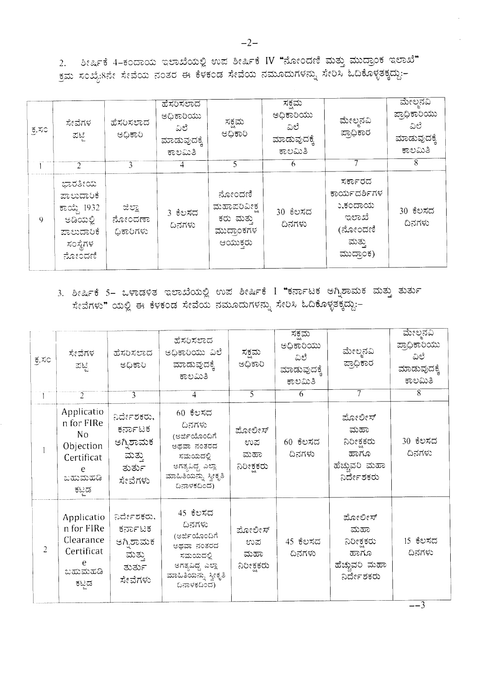2. ಶೀರ್ಷಿಕೆ 4-ಕಂದಾಯ ಇಲಾಖೆಯಲ್ಲಿ ಉಪ ಶೀರ್ಷಿಕೆ IV "ನೋಂದಣಿ ಮತ್ತು ಮುದ್ರಾಂಕ ಇಲಾಖೆ"  $\frac{1}{2}$ ಮ ಸಂಖ್ಯೆ:8ನೇ ಸೇವೆಯ ನಂತರ ಈ ಕೆಳಕಂಡ ಸೇವೆಯ ನಮೂದುಗಳನ್ನು ಸೇರಿಸಿ ಓದಿಕೊಳ್ಳತಕ್ಕದ್ದು:–

| ಕ್ಕಸಂ       | ಸೇವೆಗಳ<br>ಪಟ                                                                        | ಹೆಸರಿಸಲಾದ<br>ಅಧಿಕಾರಿ          | ಹೆಸರಿಸಲಾದ<br>ಅಧಿಕಾರಿಯು<br>ವಿಲೆ<br>ಮಾಡುವುದಕ್ಕೆ<br>ಕಾಲಮಿತಿ | ಸಕ್ಷಮ<br>ಅಧಿಕಾರಿ                                           | ಸಕ್ಷಮ<br>ಅಧಿಕಾರಿಯು<br>ವಿಲೆ<br>ಮಾಡುವುದಕ್ಕೆ<br>ಕಾಲಮಿತಿ | ಮೇಲ್ಪನವಿ<br>ಪ್ರಾಧಿಕಾರ                                                        | ಮೇಲನವಿ<br>ಪ್ರಾಧಿಕಾರಿಯು<br>ವಿಲೆ<br>ಮಾಡುವುದಕ್ಕೆ<br>ಕಾಲಮಿತಿ |
|-------------|-------------------------------------------------------------------------------------|-------------------------------|----------------------------------------------------------|------------------------------------------------------------|------------------------------------------------------|------------------------------------------------------------------------------|----------------------------------------------------------|
|             | $\mathcal{D}$                                                                       | 3                             | 4                                                        | 5.                                                         | 6                                                    |                                                                              | 8                                                        |
| $\mathbf Q$ | ಭಾರತೀಯ<br>ಪಾಲುದಾರಿಕೆ<br>ಕಾಯ್ದೆ 1932<br>ಅಡಿಯಲ್ಲಿ<br>ಪಾಲುದಾರಿಕೆ<br>ಸಂಸ್ಥೆಗಳ<br>ನೋಂದಣಿ | ಜಿಲ್ಲಾ<br>ನೋಂದಣಾ<br>ಧಿಕಾರಿಗಳು | 3 ಕೆಲಸದ<br>ದಿನಗಳು                                        | ನೋಂದಣಿ<br>ಮಹಾಪರಿವೀಕ್ಷ<br>ಕರು ಮತ್ತು<br>ಮುದ್ರಾಂಕಗಳ<br>ಆಯುಕರು | 30 ಕೆಲಸದ<br>ದಿನಗಳು                                   | ಸರ್ಕಾರದ<br>ಕಾರ್ಯದರ್ಶಿಗಳ<br>ು,ಕಂದಾಯ<br>ಇಲಾಖೆ<br>(ನೋಂದಣಿ<br>ಮತ್ತು<br>ಮುದ್ರಾಂಕ) | 30 ಕೆಲಸದ<br>ದಿನಗಳು                                       |

3. ಶೀರ್ಷಿಕೆ 5– ಒಳಾಡಳಿತ ಇಲಾಖೆಯಲ್ಲಿ ಉಪ ಶೀರ್ಷಿಕೆ I "ಕರ್ನಾಟಕ ಅಗ್ನಿಶಾಮಕ ಮತ್ತು ತುರ್ತು ಸೇವೆಗಳು" ಯಲ್ಲಿ ಈ ಕೆಳಕಂಡ ಸೇವೆಯ ನಮೂದುಗಳನ್ನು ಸೇರಿಸಿ ಓದಿಕೊಳ್ಳತಕ್ಕದ್ದು:–

| ಕ್ರಸಂ | ಸೇವೆಗಳ<br>ಪಟ್ಟಿ<br>$\overline{2}$                                                             | ಹೆಸರಿಸಲಾದ<br>ಅಧಿಕಾರಿ<br>$\overline{3}$                             | ಹೆಸರಿಸಲಾದ<br>ಅಧಿಕಾರಿಯು ವಿಲೆ<br>ಮಾಡುವುದಕ್ಕೆ<br>ಕಾಲಮಿತಿ<br>4                                                               | ಸಕ್ಷಮ<br>ಅಧಿಕಾರಿ<br>$\overline{5}$ | ಸಕಮ<br>ಅಧಿಕಾರಿಯು<br>ವಿಲೆ<br>ಮಾಡುವುದಕ್ಕೆ<br>ಕಾಲಮಿತಿ<br>6 | ಮೇಲ್ಕನವಿ<br>ಪ್ರಾಧಿಕಾರ<br>7                                       | ಮೇಲ್ತನವಿ<br>ಪ್ರಾಧಿಕಾರಿಯು<br>ವಿಲೆ<br>ಮಾಡುವುದಕ್ಕೆ<br>ಕಾಲಮಿತಿ<br>8 |
|-------|-----------------------------------------------------------------------------------------------|--------------------------------------------------------------------|--------------------------------------------------------------------------------------------------------------------------|------------------------------------|---------------------------------------------------------|------------------------------------------------------------------|-----------------------------------------------------------------|
|       | Applicatio<br>n for FIRe<br>N <sub>o</sub><br>Objection<br>Certificat<br>e<br>ಬಹುಹಡಿ<br>ಕಟ್ಟಡ | ನಿರ್ದೇಶಕರು,<br>ಕರ್ನಾಟಕ<br>ಅಗ್ನಿಶಾಮಕ<br>ಮತ್ತು<br>ತುರ್ತು<br>ಸೇವೆಗಳು  | 60 ಕೆಲಸದ<br>ದಿನಗಳು<br>(ಅರ್ಜಿಯೊಂದಿಗೆ<br>ಅಥವಾ ನಂತರದ<br>ಸಮಯದಲ್ಲಿ<br>ಅಗತ್ಯವಿದ್ದ ಎಲ್ಲಾ<br>ಮಾಹಿತಿಯನ್ನು ಸ್ವೀಕೃತಿ<br>ದಿನಾಳಕದಿಂದ) | ಮೋಲೀಸ್<br>ಉಪ<br>ಮಹಾ<br>ನಿರೀಕ್ಷಕರು  | $60$ ಕೆಲಸದ<br>ದಿನಗಳು                                    | ಮೋಲೀಸ್<br>ಮಹಾ<br>ನಿರೀಕಕರು<br>ಹಾಗೂ<br>ಹೆಚ್ಚುವರಿ ಮಹಾ<br>ನಿರ್ದೇಶಕರು | 30 ಕೆಲಸದ<br>ದಿನಗಳು                                              |
| 2     | Applicatio<br>n for FIRe<br>Clearance<br>Certificat<br>ಬಹುಮಹಡಿ<br>ಕಟ್ತಡ                       | ನಿರ್ದೇಶಕರು,<br>ಕರ್ನಾಟಕ<br>ಆಗ್ನಿಶಾಮಕ<br>ಮತ್ತು.<br>ತುರ್ತು<br>ಸೇವೆಗಳು | 45 ಕೆಲಸದ<br>ದಿನಗಳು<br>(ಅರ್ಜಿಯೊಂದಿಗೆ<br>ಆಥವಾ ನಂತರದ<br>ಸಮಯದಲ್ಲಿ<br>ಅಗತ್ಯವಿದ್ದ ಎಲ್ಲಾ<br>ಮಾಹಿತಿಯನ್ನು ಸ್ವೀಕೃತಿ<br>ದಿನಾಳಕದಿಂದ) | ಮೋಲೀಸ್<br>ಉಪ<br>ಮಹಾ<br>ನಿರೀಕ್ಷಕರು  | 45 ಕೆಲಸದ<br>ದಿನಗಳು                                      | ಮೋಲೀಸ್<br>ಮಹಾ<br>ನಿರೀಕಕರು<br>ಹಾಗೂ<br>ಹೆಚ್ಚುವರಿ ಮಹಾ<br>ನಿರ್ದೇಶಕರು | 15 ಕೆಲಸದ<br>ದಿನಗಳು                                              |

 $-2-$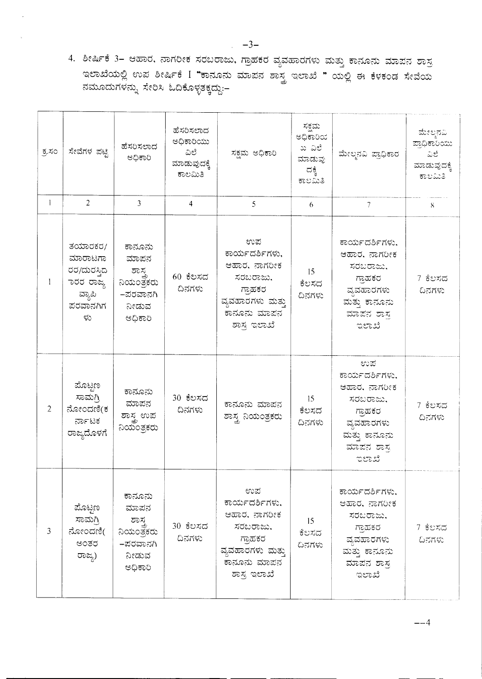4. ಶೀರ್ಷಿಕೆ 3– ಆಹಾರ, ನಾಗರೀಕ ಸರಬರಾಜು, ಗ್ರಾಹಕರ ವ್ಯವಹಾರಗಳು ಮತ್ತು ಕಾನೂನು ಮಾಪನ ಶಾಸ್ತ ಇಲಾಖೆಯಲ್ಲಿ ಉಪ ಶೀರ್ಷಿಕೆ I "ಕಾನೂನು ಮಾಪನ ಶಾಸ್ತ್ರ ಇಲಾಖೆ " ಯಲ್ಲಿ ಈ ಕೆಳಕಂಡ ಸೇವೆಯ ನಮೂದುಗಳನ್ನು ಸೇರಿಸಿ ಓದಿಕೊಳ್ಳತಕ್ಕದ್ದು:-

| ಕ್ಕಸಂ          | ಸೇವೆಗಳ ಪಟ್ಟಿ                                                               | ಹೆಸರಿಸಲಾದ<br>ಅಧಿಕಾರಿ                                                  | ಹೆಸರಿಸಲಾದ<br>ಅಧಿಕಾರಿಯು<br>ವಿಲೆ<br>ಮಾಡುವುದಕ್ಕೆ<br>ಕಾಲಮಿತಿ | ಸಕ್ಷಮ ಅಧಿಕಾರಿ                                                                                                   | ಸಕ್ಷಮ<br>ಅಧಿಕಾರಿಯ<br>ಖ ವಿಲೆ<br>ಮಾಡುವು<br>ದಕ್ಕೆ<br>ಕಾಲಮಿತಿ | ಮೇಲ್ಕನವಿ ಪ್ರಾಧಿಕಾರ                                                                                               | ಮೇಲ್ಛನವಿ<br>ಪ್ರಾಧಿಕಾರಿಯು<br>ಎಲ್<br>ಮಾಡುವುದಕ್ಕೆ<br>ಕಾಲಮಿತಿ |
|----------------|----------------------------------------------------------------------------|-----------------------------------------------------------------------|----------------------------------------------------------|-----------------------------------------------------------------------------------------------------------------|-----------------------------------------------------------|------------------------------------------------------------------------------------------------------------------|-----------------------------------------------------------|
| $\mathbf{I}$   | $\overline{2}$                                                             | $\overline{3}$                                                        | $\overline{4}$                                           | 5                                                                                                               | 6                                                         | 7                                                                                                                | 8 <sup>1</sup>                                            |
|                | ತಯಾರಕರ/<br>ಮಾರಾಟಗಾ<br>ರರ/ದುರಸ್ತಿದ<br>ಾರರ ರಾಜ್ಯ<br>ವ್ಯಾಪಿ<br>ಪರವಾನಗಿಗ<br>ಳು | ಕಾನೂನು<br>ಮಾಪನ<br>ಶಾಸ<br>ನಿಯಂತ್ರಕರು<br>–ಪರವಾನಗಿ<br>ನೀಡುವ<br>ಅಧಿಕಾರಿ   | 60 ಕೆಲಸದ<br>ದಿನಗಳು                                       | ಉಪ<br>ಕಾರ್ಯದರ್ಶಿಗಳು,<br>ಆಹಾರ, ನಾಗರೀಕ<br>ಸರಬರಾಜು,<br>ಗ್ರಾಹಕರ<br>ವ್ಯವಹಾರಗಳು ಮತ್ತು<br>ಕಾನೂನು ಮಾಪನ<br>ಶಾಸ್ತ್ರ ಇಲಾಖೆ | 15<br>ಕೆಲಸದ<br>ದಿನಗಳು                                     | ಕಾರ್ಯದರ್ಶಿಗಳು.<br>ಆಹಾರ, ನಾಗರೀಕ<br>ಸರಬರಾಜು,<br>ಗಾಹಕರ<br>ವ್ಯವಹಾರಗಳು<br>ಮತ್ತು ಕಾನೂನು<br>ಮಾಪನ ಶಾಸ<br>ಇಲಾಖೆ           | 7 ಕೆಲಸದ<br>ದಿನಗಳು                                         |
| $\overline{2}$ | ಮೊಟ್ಟಣ<br>ಸಾಮಗ್ರಿ<br>ನೋಂದಣಿ(ಕ<br>ರ್ನಾಟಕ<br>ರಾಜ್ಯದೊಳಗೆ                      | ಕಾನೂನು<br>ಮಾಪನ<br>ಶಾಸ್ತ್ರ ಉಪ<br>ನಿಯಂತ್ರಕರು                            | 30 ಕೆಲಸದ<br>ದಿನಗಳು                                       | ಕಾನೂನು ಮಾಪನ<br>ಶಾಸ್ತ್ರ ನಿಯಂತ್ರಕರು                                                                               | 15<br>ಕೆಲಸದ<br>ದಿನಗಳು                                     | ಉಪ<br>ಕಾರ್ಯದರ್ಶಿಗಳು.<br>ಆಹಾರ, ನಾಗರೀಕ<br>ಸರಬರಾಜು.<br>ಗ್ರಾಹಕರ<br>ವ್ಯವಹಾರಗಳು<br>ಮತ್ತು ಕಾನೂನು<br>ಮಾಪನ ಶಾಸ್ತ<br>ಇಲಾಖೆ | 7 ಕೆಲಸದ<br>ದಿನಗಳು                                         |
| 3              | ಮೊಟ್ಟಣ<br>ಸಾಮಗ್ರಿ<br>ನೋಂದಣಿ(<br>ಅಂತರ<br>ರಾಜ್ಯ)                             | ಕಾನೂನು<br>ಮಾಪನ<br>ಶಾಸ್ತ<br>ನಿಯಂತ್ರಕರು<br>–ಪರವಾನಗಿ<br>ನೀಡುವ<br>ಅಧಿಕಾರಿ | 30 ಕೆಲಸದ<br>ದಿನಗಳು                                       | ಉಪ<br>ಕಾರ್ಯದರ್ಶಿಗಳು,<br>ಆಹಾರ, ನಾಗರೀಕ<br>ಸರಬರಾಜು.<br>ಗ್ರಾಹಕರ<br>ವ್ಯವಹಾರಗಳು ಮತ್ತು<br>ಕಾನೂನು ಮಾಪನ<br>ಶಾಸ್ತ್ರ ಇಲಾಖೆ | 15 <sup>2</sup><br>ಕೆಲಸದ<br>ದಿನಗಳು                        | ಕಾರ್ಯದರ್ಶಿಗಳು,<br>ಆಹಾರ, ನಾಗರೀಕ<br>ಸರಬರಾಜು.<br>ಗಾಹಕರ<br>ವ್ಯವಹಾರಗಳು<br>ಮತ್ತು ಕಾನೂನು<br>ಮಾಪನ ಶಾಸ್ತ<br>ಇಲಾಖೆ         | 7 ಕೆಲಸದ<br>ದಿನಗಳು                                         |

 $-4$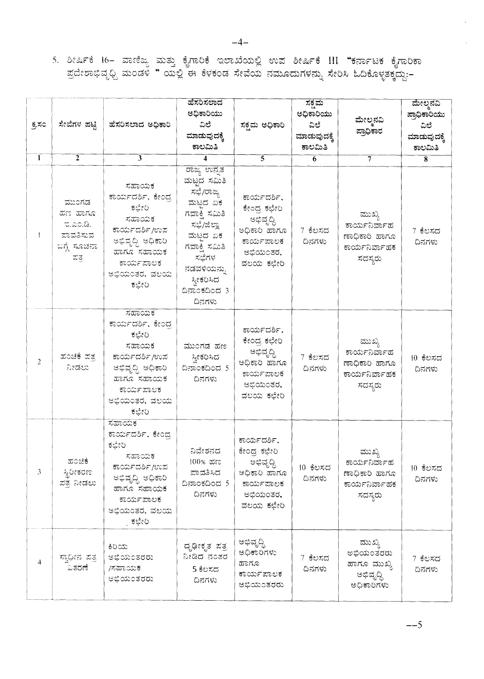5. ಶೀರ್ಷಿಕೆ 16– ವಾಣಿಜ್ಯ ಮತ್ತು ಕೈಗಾರಿಕೆ ಇಲಾಖೆಯಲ್ಲಿ ಉಪ ಶೀರ್ಷಿಕೆ III "ಕರ್ನಾಟಕ ಕೈಗಾರಿಕಾ<br>ಪ್ರದೇಶಾಭಿವೃಧ್ದಿ ಮಂಡಳಿ " ಯಲ್ಲಿ ಈ ಕೆಳಕಂಡ ಸೇವೆಯ ನಮೂದುಗಳನ್ನು ಸೇರಿಸಿ ಓದಿಕೊಳ್ಳತಕ್ಕದ್ದು:–

| ಕ್ರಸಂ        | ಸೇವೆಗಳ ಪಟ್ಟಿ                                                    | ಹೆಸರಿಸಲಾದ ಅಧಿಕಾರಿ                                                                                                                         | ಹೆಸರಿಸಲಾದ<br>ಅಧಿಕಾರಿಯು<br>ವಿಲೆ<br>ಮಾಡುವುದಕ್ಕೆ<br>ಕಾಲಮಿತಿ                                                                                                                 | ಸಕ್ಷಮ ಅಧಿಕಾರಿ                                                                                  | ಸಕಮ<br>ಅಧಿಕಾರಿಯು<br>ವಿಲೆ<br>ಮಾಡುವುದಕ್ಕೆ<br>ಕಾಲಮಿತಿ | ಮೇಲ್ಮನವಿ<br>ಪ್ರಾಧಿಕಾರ                                                | ಮೇಲ್ಠನವಿ<br>ಪ್ರಾಧಿಕಾರಿಯು<br>ವಿಲೆ<br>ಮಾಡುವುದಕ್ಕೆ<br>ಕಾಲಮಿತಿ |
|--------------|-----------------------------------------------------------------|-------------------------------------------------------------------------------------------------------------------------------------------|--------------------------------------------------------------------------------------------------------------------------------------------------------------------------|------------------------------------------------------------------------------------------------|----------------------------------------------------|----------------------------------------------------------------------|------------------------------------------------------------|
| $\mathbf{1}$ | $\overline{2}$                                                  | 3                                                                                                                                         | 4                                                                                                                                                                        | 5                                                                                              | 6                                                  | 7                                                                    | $\overline{\mathbf{8}}$                                    |
|              | ಮುಂಗಡ<br>ಮಣ ಹಾಗೂ<br>ಇ.ಎಂ.ಡಿ.<br>ಪಾವತಿಸುವ<br>ಬಗ್ಗೆ ಸೂಚನಾ<br>ಪತ್ರ | ಸಹಾಯಕ<br>ಕಾರ್ಯದರ್ಶಿ, ಕೇಂದ್ರ<br>ಕಛೇರಿ<br>ಸಹಾಯಕ<br>ಕಾರ್ಯದರ್ಶಿ/ಉಪ<br>ಅಭಿವೃದ್ಧಿ ಅಧಿಕಾರಿ<br>ಹಾಗೂ ಸಹಾಯಕ<br>ಕಾರ್ಯಪಾಲಕ<br>ಅಭಿಯಂತರ, ವಲಯ<br>ಕಛೇರಿ   | ರಾಜ್ಯ ಉನ್ನತ<br>ಮಟ್ಟದ ಸಮಿತಿ<br>ಸಭೆ/ರಾಜ್ಯ<br>ಮಟದ ಏಕ<br>ಗವಾಕ್ಷಿ ಸಮಿತಿ<br>ಸಭೆ/ಜಿಲ್ಲಾ<br>ಮಟದ ಏಕ<br>ಗವಾಕಿ ಸಮಿತಿ<br>ಸಭೆಗಳ<br>ನಡವಳಿಯನ್ನು<br>ಸ್ತೀಕರಿಸಿದ<br>ದಿನಾಂಕದಿಂದ 3<br>ದಿನಗಳು | ಕಾರ್ಯದರ್ಶಿ,<br>ಕೇಂದ್ರ ಕಛೇರಿ<br>ಅಭಿವೃದ್ಧಿ<br>ಅಧಿಕಾರಿ ಹಾಗೂ<br>ಕಾರ್ಯಪಾಲಕ<br>ಅಭಿಯಂತರ,<br>ವಲಯ ಕಛೇರಿ | 7 ಕೆಲಸದ<br>ದಿನಗಳು                                  | ಮುಖ್ಯ<br>ಕಾರ್ಯನಿರ್ವಾಹ<br>ಣಾಧಿಕಾರಿ ಹಾಗೂ<br>ಕಾರ್ಯನಿರ್ವಾಹಕ<br>ಸದಸ್ಯರು   | 7 ಕೆಲಸದ<br>ದಿನಗಳು                                          |
| 2            | ಹಂಚಿಕೆ ಪತ್ರ<br>ನೀಡಲು                                            | ಸಹಾಯಕ<br>ಕಾರ್ಯದರ್ಶಿ, ಕೇಂದ್ರ<br>ಕಛೇರಿ<br>ಸಹಾಯಕ<br>ಕಾರ್ಯದರ್ಶಿ/ಉಪ<br>ಅಭಿವೃದ್ಧಿ ಅಧಿಕಾರಿ<br>ಹಾಗೂ ಸಹಾಯಕ<br>ಕಾರ್ಯಪಾಲಕ<br>ಅಭಿಯಂತರ, ವಲಯ<br>ಕಛೇರಿ   | ಮುಂಗಡ ಹಣ<br>ಸ್ವೀಕರಿಸಿದ<br>ದಿನಾಂಕದಿಂದ 5<br>ದಿನಗಳು                                                                                                                         | ಕಾರ್ಯದರ್ಶಿ,<br>ಕೇಂದ್ರ ಕಛೇರಿ<br>ಅಭಿವೃದ್ಧಿ<br>ೂಸಂಹ ರಿಹಧಿಅ<br>ಕಾರ್ಯಪಾಲಕ<br>ಅಭಿಯಂತರ,<br>ವಲಯ ಕಛೇರಿ  | 7 ಕೆಲಸದ<br>ದಿನಗಳು                                  | ಮುಖ್ಯ<br>ಕಾರ್ಯನಿರ್ವಾಹ<br>ಣಾಧಿಕಾರಿ ಹಾಗೂ<br>ಕಾರ್ಯನಿರ್ವಾಹಕ<br>ಸದಸ್ಯರು   | 10 ಕೆಲಸದ<br>ದಿನಗಳು                                         |
| 3            | ಹಂಚಿಕೆ<br>ಸ್ಥಿರೀಕರಣ<br>ಪತ್ರ ನೀಡಲು                               | ಸಹಾಯಕ<br>ಕಾರ್ಯದರ್ಶಿ, ಕೇಂದ್ರ<br>ಕಛೇರಿ<br>ಸಹಾಯಕ<br>ಕಾರ್ಯದರ್ಶಿ/ಉಪ<br>ಅಭಿವೃದ್ಧಿ ಅಧಿಕಾರಿ<br>ಹಾಗೂ ಸಹಾಯಕ<br>ಕಾರ್ಯಪಾಲಕ<br>ಅಭಿಯಂತರ, ವಲಯ<br>. ಕಛೇರಿ | ನಿವೇಶನದ<br>100% ಹಣ<br>ಪಾವತಿಸಿದ<br>ದಿನಾಂಕದಿಂದ 5<br>ದಿನಗಳು                                                                                                                 | ಕಾರ್ಯದರ್ಶಿ,<br>ಕೇಂದ್ರ ಕಛೇರಿ<br>ಅಭಿವೃದ್ಧಿ<br>ಅಧಿಕಾರಿ ಹಾಗೂ<br>ಕಾರ್ಯಪಾಲಕ<br>ಅಭಿಯಂತರ,<br>ವಲಯ ಕಛೇರಿ | 10 ಕೆಲಸದ<br>ದಿನಗಳು                                 | ಮುಖ್ಯ<br>ಕಾರ್ಯನಿರ್ವಾಹ<br>ನಾಗಿಂಹ ರಿಹಾಧಿಕಾ<br>ಕಾರ್ಯನಿರ್ವಾಹಕ<br>ಸದಸ್ಯರು | 10 ಕೆಲಸದ<br>ದಿನಗಳು                                         |
| 4            | ಸ್ತಾಧೀನ ಪತ್ತ<br>ವಿತರಣೆ                                          | ಕಿರಿಯ<br>ಅಭಿಯಂತರರು<br>/ಸಹಾಯಕ<br><u> ಆಭಿಯಂತರರು</u>                                                                                         | ದೃಢೀಕೃತ ಪತ್ರ<br>ನೀಡಿದ ನಂತರ<br>5 ಕೆಲಸದ<br>ದಿನಗಳು                                                                                                                          | ಅಭಿವೃದ್ಧಿ<br>ಅಧಿಕಾರಿಗಳು<br>ಹಾಗೂ<br>ಕಾರ್ಯಪಾಲಕ<br>ಅಭಿಯಂತರರು                                      | 7 ಕೆಲಸದ<br>ದಿನಗಳು                                  | ಮುಖ್ಯ<br>ಅಭಿಯಂತರರು<br>ಹಾಗೂ ಮುಖ್ಯ<br>ಅಭಿವೃದ್ಧಿ<br>ಅಧಿಕಾರಿಗಳು          | 7 ಕೆಲಸದ<br>ದಿನಗಳು                                          |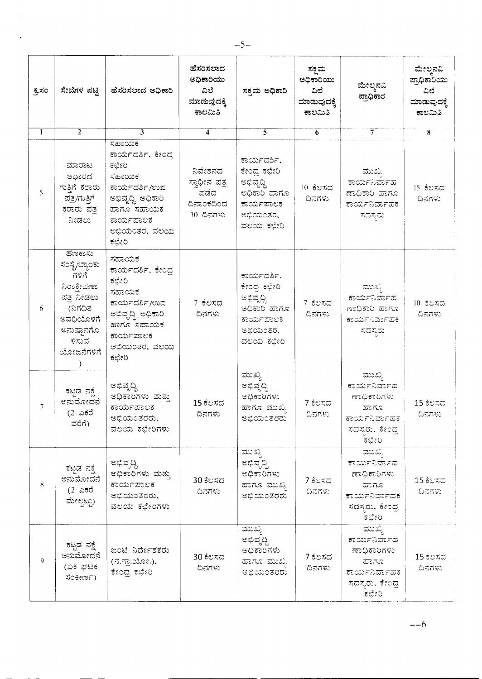| ಕ್ರಸಂ        | ಸೇವೆಗಳ ಪಟ್ಟಿ                                                                                                              | ಹೆಸರಿಸಲಾದ ಅಧಿಕಾರಿ                                                                                                                       | ಹೆಸರಿಸಲಾದ<br>ಅಧಿಕಾರಿಯು<br>ವಿಲೆ<br>ಮಾಡುವುದಕ್ಕೆ<br>ಕಾಲಮಿತಿ   | ಸಕ್ಷಮ ಅಧಿಕಾರಿ                                                                                 | ಸಕ್ಷಮ<br>ಅಧಿಕಾರಿಯು<br>ವಿಲೆ<br>ಮಾಡುವುದಕ್ಕೆ<br>ಕಾಲಮಿತಿ | ಮೇಲ್ಮನವಿ<br>ಪ್ರಾಧಿಕಾರ                                                                     | ಮೇಲ್ಪನವಿ<br>ಪ್ರಾಧಿಕಾರಿಯು<br>ವಿಲೆ<br>ಮಾಡುವುದಕ್ಕೆ<br>ಕಾಲಮಿತಿ |
|--------------|---------------------------------------------------------------------------------------------------------------------------|-----------------------------------------------------------------------------------------------------------------------------------------|------------------------------------------------------------|-----------------------------------------------------------------------------------------------|------------------------------------------------------|-------------------------------------------------------------------------------------------|------------------------------------------------------------|
| $\mathbf{1}$ | $\overline{2}$                                                                                                            | 3                                                                                                                                       | 4                                                          | $\overline{5}$                                                                                | 6                                                    | 7                                                                                         | 8                                                          |
| 5            | ಮಾರಾಟ<br>ಆಧಾರದ<br>ಗುತಿಗೆ ಕರಾರು<br>ಪತ್ರ/ಗುತ್ತಿಗೆ<br>ಕರಾರು ಪತ್ರ<br>ನೀಡಲು                                                    | ಸಹಾಯಕ<br>ಕಾರ್ಯದರ್ಶಿ, ಕೇಂದ್ರ<br>ಕಛೇರಿ<br>ಸಹಾಯಕ<br>ಕಾರ್ಯದರ್ಶಿ/ಉಪ<br>ಅಭಿವೃದ್ಧಿ ಅಧಿಕಾರಿ<br>ಹಾಗೂ ಸಹಾಯಕ<br>ಕಾರ್ಯಪಾಲಕ<br>ಅಭಿಯಂತರ, ವಲಯ<br>ಕಛೇರಿ | ನಿವೇಶನದ<br>ಸ್ಪಾಧೀನ ಪತ್ರ<br>ಪಡೆದ<br>ದಿನಾಂಕದಿಂದ<br>30 ದಿನಗಳು | ಕಾರ್ಯದರ್ಶಿ,<br>ಕೇಂದ್ರ ಕಛೇರಿ<br>ಅಭಿವೃದ್ಧಿ<br>ುಗಾದ ರಿಹಧಿಅ<br>ಕಾರ್ಯಪಾಲಕ<br>ಆಭಿಯಂತರ,<br>ವಲಯ ಕಛೇರಿ | 10 ಕೆಲಸದ<br>ದಿನಗಳು                                   | ಮುಖ್ಯ<br>ಕಾರ್ಯನಿರ್ವಾಹ<br>ನುಗಂದ ರೆಂಕಧಿಂಕಾ<br>ಕಾರ್ಯನಿರ್ವಾಹಕ<br>ಸದಸ್ಯರು                      | 15 ಕೆಲಸದ<br>ದಿನಗಳು                                         |
| 6            | ಹಣಕಾಸು<br>ಸಂಸ್ಥೆ/ಬ್ಯಾಂಕು<br>ಗಳಿಗೆ<br>ನಿರಾಕೇಪಣಾ<br>ಪತ್ರ ನೀಡಲು<br>(ನಿಗದಿತ<br>ಅವಧಿಯೊಳಗೆ<br>ಅನುಷ್ಠಾನಗೊ<br>ಳಿಸುವ<br>ಯೋಜನೆಗಳಿಗೆ | ಸಹಾಯಕ<br>ಕಾರ್ಯದರ್ಶಿ, ಕೇಂದ್ರ<br>ಕಛೇರಿ<br>ಸಹಾಯಕ<br>ಕಾರ್ಯದರ್ಶಿ/ಉಪ<br>ಅಭಿವೃದ್ಧಿ ಅಧಿಕಾರಿ<br>ಹಾಗೂ ಸಹಾಯಕ<br>ಕಾರ್ಯಪಾಲಕ<br>ಅಭಿಯಂತರ, ವಲಯ<br>ಕಛೇರಿ | 7 ಕೆಲಸದ<br>ದಿನಗಳು                                          | ಕಾರ್ಯದರ್ಶಿ.<br>ಕೇಂದ್ರ ಕಛೇರಿ<br>ಆಭಿವೃದ್ಧಿ<br>ುಗಡ ರಿಹರಿಆ<br>ಕಾರ್ಯಪಾಲಕ<br>ಆಭಿಯಂತರ,<br>ವಲಯ ಕಛೇರಿ  | 7 ಕೆಲಸದ<br>ದಿನಗಳು                                    | ಮುಖ<br>ಕಾರ್ಯನಿರ್ವಾಹ<br>ಮಗೂಹ ರಿಡಧಿಕಾ<br>ಕಾರ್ಯನಿರ್ವಾಹಕ<br>ಸದಸ್ಯರು                           | 10 ಕೆಲಸದ<br>ದಿನಗಳು                                         |
| 7            | ಕಟಡ ನಕ್ಕೆ<br>ಅನುಮೋದನೆ<br>(2 ಎಕರೆ<br>ವರೆಗೆ)                                                                                | ಅಭಿವೃದ್ಧಿ<br>ಆಧಿಕಾರಿಗಳು ಮತ್ತು<br>ಕಾರ್ಯಪಾಲಕ<br>ಅಭಿಯಂತರರು,<br>ವಲಯ ಕಛೇರಿಗಳು                                                                | 15 ಕೆಲಸದ<br>ದಿನಗಳು                                         | ಮುಖ್ಯ<br>ಆಭಿವೃದ್ಧಿ<br>ಅಧಿಕಾರಿಗಳು<br>ಹಾಗೂ ಮುಖ್ಯ<br>ಅಭಿಯಂತರರು                                   | 7 ಕೆಲಸದ<br>ದಿನಗಳು                                    | ಮುಖ್ಯ<br>ಕಾರ್ಯನಿರ್ವಾಹ<br>ಣಾಧಿಕಾರಿಗಳು<br>ಮಾಗೂ<br>ಕಾರ್ಯನಿರ್ವಾಹಕ<br>ಸದಸ್ಯರು, ಕೇಂದ್ರ<br>ಕಛೇರಿ | 15 ಕೆಲಸದ<br>ದಿನಗಳು                                         |
| 8            | ಕಟ್ಟಡ ನಕ್ಷೆ<br>ಅನುಮೋದನೆ<br>(2 ಎಕರೆ<br>ಮೇಲ್ಪಟ್ಟು)                                                                          | ಅಭಿವೃದ್ಧಿ<br>ಅಧಿಕಾರಿಗಳು ಮತ್ತು<br>ಕಾರ್ಯಪಾಲಕ<br>ಅಭಿಯಂತರರು,<br>ವಲಯ ಕಛೇರಿಗಳು                                                                | 30 ಕೆಲಸದ<br>ದಿನಗಳು                                         | ಮುಖ್ಯ<br>ಆಭಿವೃದ್ಧಿ<br>ಅಧಿಕಾರಿಗಳು<br>ಹಾಗೂ ಮುಖ್ಯ<br><i>ಆಭಿಯಂತರರು</i>                            | 7 ಕೆಲಸದ<br>ದಿನಗಳು                                    | ಮುಖ್ಯ<br>ಕಾರ್ಯನಿರ್ವಾಹ<br>ಣಾಧಿಕಾರಿಗಳು<br>ಮಾಗೂ<br>ಕಾರ್ಯನಿರ್ವಾಹಕ<br>ಸದಸ್ಯರು, ಕೇಂದ್ರ<br>ಕಛೇರಿ | 15 ಕೆಲಸದ<br>ದಿನಗಳು                                         |
| 9            | ಕಟ್ಟಡ ನಕ್ಷೆ<br>ಅನುಮೋದನೆ<br>(ಏಕ ಘಟಕ<br>ಸಂಕೀರ್ಣ).                                                                           | ಜಂಟಿ ನಿರ್ದೇಶಕರು<br>(ನ.ಗ್ರಾಯೋ.),<br>ಕೇಂದ್ರ ಕಛೇರಿ                                                                                         | 30 ಕೆಲಸದ<br>ದಿನಗಳು                                         | <u>ಮುಖ್ಯ</u><br>ಅಭಿವೃದ್ಧಿ<br>ಅಧಿಕಾರಿಗಳು<br>ಹಾಗೂ ಮುಖ್ಯ<br>ಅಭಿಯಂತರರು                            | 7 ಕೆಲಸದ<br>ದಿನಗಳು                                    | ಮುಖ್ಯ<br>ಕಾರ್ಯನಿರ್ವಾಹ<br>ಣಾಧಿಕಾರಿಗಳು<br>ಮಾಗೂ<br>ಕಾರ್ಯನಿರ್ವಾಹಕ<br>ಸದಸ್ಯರು, ಕೇಂದ್ರ<br>ಕಲೇರಿ | 15 ಕೆಲಸದ<br>ದಿನಗಳು                                         |

 $-5-$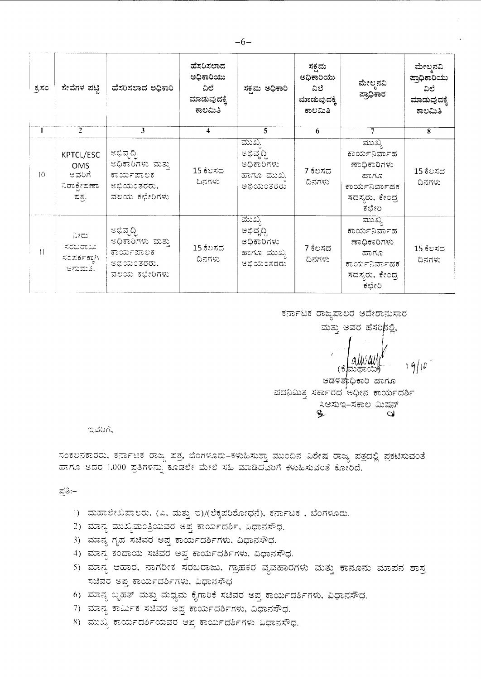| ಕ್ಕಸಂ           | ಸೇವೆಗಳ ಪಟ್ಟಿ                                      | ಹೆಸರಿಸಲಾದ ಅಧಿಕಾರಿ                                                        | ಹೆಸರಿಸಲಾದ<br>ಅಧಿಕಾರಿಯು<br>ವಿಲೆ<br>ಮಾಡುವುದಕ್ಕೆ<br>ಕಾಲಮಿತಿ | ಸಕ್ರಮ ಅಧಿಕಾರಿ                                                      | ಸಕ್ಷಮ<br>ಅಧಿಕಾರಿಯು<br>ವಿಲೆ<br>ಮಾಡುವುದಕ್ಕೆ<br>ಕಾಲಮಿತಿ | ಮೇಲ್ಮನವಿ<br>ಪ್ರಾಧಿಕಾರ                                                                            | ಮೇಲ್ತನವಿ<br>ಪ್ರಾಧಿಕಾರಿಯು<br>ವಿಲೆ<br>ಮಾಡುವುದಕ್ಕೆ<br>ಕಾಲಮಿತಿ |
|-----------------|---------------------------------------------------|--------------------------------------------------------------------------|----------------------------------------------------------|--------------------------------------------------------------------|------------------------------------------------------|--------------------------------------------------------------------------------------------------|------------------------------------------------------------|
|                 | $2^{\circ}$                                       | 3                                                                        | $\overline{4}$                                           | 5                                                                  | 6                                                    | 7                                                                                                | 8                                                          |
| $\overline{0}$  | KPTCL/ESC<br>OMS<br>ಆವರಿಗೆ<br>ನಿರಾಕೇಪಣಾ<br>ಪುತ್ರ. | ಅಭಿವೃದ್ಧಿ<br>ಅಧಿಕಾರಿಗಳು ಮತ್ತು<br>ಕಾರ್ಯಪಾಲಕ<br>ಆಭಿಯಂತರರು,<br>ವಲಯ ಕಛೇರಿಗಳು | 15 ಕೆಲಸದ<br>ದಿನಗಳು                                       | ಮುಖ್ಯ<br>೮ಭಿವೃದ್ಧಿ<br>ಅಧಿಕಾರಿಗಳು<br>ಹಾಗೂ ಮುಖ್ಯ<br>ಅಭಿಯಂತರರು        | 7 ಕೆಲಸದ<br>ದಿನಗಳು                                    | ಮುಖ್ಯ<br>ಕಾರ್ಯನಿರ್ವಾಹ<br>ಣಾಧಿಕಾರಿಗಳು<br>ಹಾಗೂ<br>ಕಾರ್ಯನಿರ್ವಾಹಕ<br>ಸದಸ್ಯರು, ಕೇಂದ್ರ<br>ಕಛೇರಿ        | 15 ಕೆಲಸದ<br>ದಿನಗಳು                                         |
| $\overline{11}$ | ನೀರು<br>ಸರಬರಾಜು:<br>ಸಂಪರ್ಕಕ್ಕಾಗಿ<br>ಆನುಮತಿ.       | ಅಭಿವೃದ್ಧಿ<br>ಆಧಿಕಾರಿಗಳು ಮತ್ತು<br>ಕಾರ್ಯಪಾಲಕ<br>ಆಭಿಯಂತರರು,<br>ವಲಯ ಕಛೇರಿಗಳು | 15 ಕೆಲಸದ<br>ದಿನಗಳು                                       | ಮುಖ್ಯ<br>ಅಭಿವೃದ್ಧಿ<br>ಅಧಿಕಾರಿಗಳು<br>ಹಾಗೂ ಮುಖ್ಯ<br><b>ಆಭಿಯಂತರರು</b> | 7 ಕೆಲಸದ<br>ದಿನಗಳು                                    | <u>ಮುಖ್ಯ</u><br>ಕಾರ್ಯನಿರ್ವಾಹ<br>ಣಾಧಿಕಾರಿಗಳು<br>ಮಾಂಡ<br>ಕಾರ್ಯನಿರ್ವಾಹಕ<br>ಸದಸ್ಯರು, ಕೇಂದ್ರ<br>ಕಛೇರಿ | 15 ಕೆಲಸದ<br>ದಿನಗಳು                                         |

ಕರ್ನಾಟಕ ರಾಜ್ಯಪಾಲರ ಆದೇಶಾನುಸಾರ

ಮತ್ತು ಅವರ ಹೆಸರಿನಲ್ಲಿ,

ಆಡಳಿತಾಧಿಕಾರಿ ಹಾಗೂ ಪದನಿಮಿತ್ತ ಸರ್ಕಾರದ ಅಧೀನ ಕಾರ್ಯದರ್ಶಿ ಸಿಆಸುಇ–ಸಕಾಲ ಮಿಷನ್  $\mathbf{L}$  $\mathbf{\Omega}$ 

ಇವರಿಗೆ.

ಸಂಕಲನಕಾರರು, ಕರ್ನಾಟಕ ರಾಜ್ಯ ಪತ್ರ, ಬೆಂಗಳೂರು–ಕಳುಹಿಸುತ್ತಾ ಮುಂದಿನ ವಿಶೇಷ ರಾಜ್ಯ ಪತ್ರದಲ್ಲಿ ಪ್ರಕಟಿಸುವಂತೆ ಹಾಗೂ ಆದರ 1,000 ಪ್ರತಿಗಳನ್ನು ಕೂಡಲೇ ಮೇಲೆ ಸಹಿ ಮಾಡಿದವರಿಗೆ ಕಳುಹಿಸುವಂತೆ ಕೋರಿದೆ.

ಪ್ರತಿ:–

- 1) ಮಹಾಲೇಖಪಾಲರು. (ಎ. ಮತ್ತು ಇ)/(ಲೆಕ್ಕಪರಿಶೋಧನೆ), ಕರ್ನಾಟಕ , ಬೆಂಗಳೂರು.
- 2) ಮಾನ್ಯ ಮುಖ್ಯಮಂತ್ರಿಯವರ ಅಪ್ತ ಕಾರ್ಯದರ್ಶಿ, ವಿಧಾನಸೌಧ.
- 3) ಮಾನ್ಯ ಗೃಹ ಸಚಿವರ ಅಪ್ತ ಕಾರ್ಯದರ್ಶಿಗಳು, ವಿಧಾನಸೌಧ.
- 4) ಮಾನ್ಯ ಕಂದಾಯ ಸಚಿವರ ಅಪ್ತ ಕಾರ್ಯದರ್ಶಿಗಳು, ವಿಧಾನಸೌಧ.
- 5) ಮಾನ್ಯ ಆಹಾರ, ನಾಗರೀಕ ಸರಬರಾಜು, ಗ್ರಾಹಕರ ವ್ಯವಹಾರಗಳು ಮತ್ತು ಕಾನೂನು ಮಾಪನ ಶಾಸ್ರ ಸಚಿವರ ಅಪ್ತ ಕಾರ್ಯದರ್ಶಿಗಳು, ವಿಧಾನಸೌಧ
- 6) ಮಾನ್ಯ ಬೃಹತ್ ಮತ್ತು ಮಧ್ಯಮ ಕೈಗಾರಿಕೆ ಸಚಿವರ ಅಪ್ತ ಕಾರ್ಯದರ್ಶಿಗಳು, ವಿಧಾನಸೌಧ.
- 7) ಮಾನ್ಯ ಕಾರ್ಮಿಕ ಸಚಿವರ ಅಪ್ತ ಕಾರ್ಯದರ್ಶಿಗಳು, ವಿಧಾನಸೌಧ.
- 8) ಮುಖ್ಯ ಕಾರ್ಯದರ್ಶಿಯವರ ಆಪ್ತ ಕಾರ್ಯದರ್ಶಿಗಳು ವಿಧಾನಸೌಧ.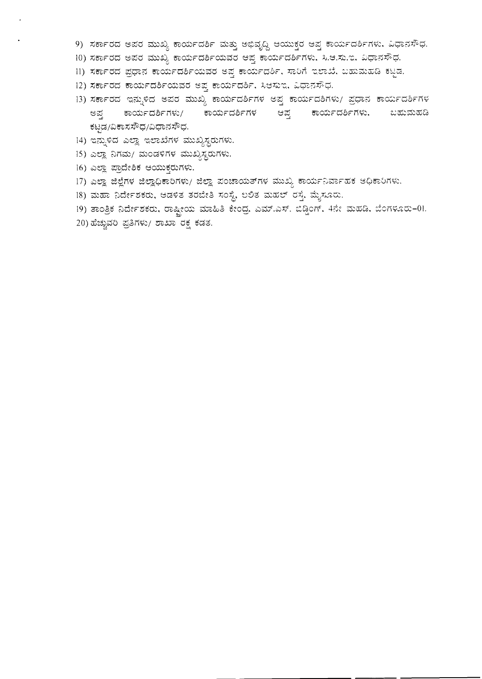- 9) ಸರ್ಕಾರದ ಅಪರ ಮುಖ್ಯ ಕಾರ್ಯದರ್ಶಿ ಮತ್ತು ಅಭಿವೃದ್ಧಿ ಆಯುಕ್ತರ ಆಪ್ತ ಕಾರ್ಯದರ್ಶಿಗಳು. ವಿಧಾನಸೌಧ.
- 10) ಸರ್ಕಾರದ ಅಪರ ಮುಖ್ಯ ಕಾರ್ಯದರ್ಶಿಯವರ ಆಪ್ತ ಕಾರ್ಯದರ್ಶಿಗಳು, ಸಿ.ಆ.ಸು.ಇ, ವಿಧಾನಸೌಧ.
- 11) ಸರ್ಕಾರದ ಪ್ರಧಾನ ಕಾರ್ಯದರ್ಶಿಯವರ ಅಪ್ತ ಕಾರ್ಯದರ್ಶಿ, ಸಾರಿಗೆ ಇಲಾಖೆ, ಬಹುಮಹಡಿ ಕಟ್ಟಡ.
- 12) ಸರ್ಕಾರದ ಕಾರ್ಯದರ್ಶಿಯವರ ಅಪ್ತ ಕಾರ್ಯದರ್ಶಿ, ಸಿಆಸುಇ, ವಿಧಾನಸೌಧ.
- 13) ಸರ್ಕಾರದ ಇನ್ನುಳಿದ ಅಪರ ಮುಖ್ಯ ಕಾರ್ಯದರ್ಶಿಗಳ ಅಪ್ತ ಕಾರ್ಯದಶಿಗಳು/ ಪ್ರಧಾನ ಕಾರ್ಯದರ್ಶಿಗಳ ಅಪ್ತ ಕಾರ್ಯದರ್ಶಿಗಳು/ ಕಾರ್ಯದರ್ಶಿಗಳ ಆಪ್ತ ಕಾರ್ಯದರ್ಶಿಗಳು. ಬಹುಮಹಡಿ ಕಟ್ಟಡ/ವಿಕಾಸಸೌಧ/ವಿಧಾನಸೌಧ.
- 14) ಇನ್ನುಳಿದ ಎಲ್ಲಾ ಇಲಾಖೆಗಳ ಮುಖ್ಯಸ್ಥರುಗಳು.
- 15) ಎಲ್ಲಾ ನಿಗಮ/ ಮಂಡಳಿಗಳ ಮುಖ್ಯಸ್ಥರುಗಳು.
- 16) ಎಲ್ಲಾ ಪ್ರಾದೇಶಿಕ ಆಯುಕ್ತರುಗಳು.
- 17) ಎಲ್ಲಾ ಜಿಲ್ಲೆಗಳ ಜಿಲ್ಲಾಧಿಕಾರಿಗಳು/ ಜಿಲ್ಲಾ ಪಂಚಾಯತ್ $\pi$ ಳ ಮುಖ್ಯ ಕಾರ್ಯನಿರ್ವಾಹಕ ಆಧಿಕಾರಿಗಳು.
- 18) ಮಹಾ ನಿರ್ದೇಶಕರು, ಆಡಳಿತ ತರಬೇತಿ ಸಂಸ್ಥೆ, ಲಲಿತ ಮಹಲ್ ರಸ್ತೆ, ಮೈಸೂರು.
- 19) ತಾಂತ್ರಿಕ ನಿರ್ದೇಶಕರು, ರಾಷ್ಟ್ರೀಯ ಮಾಹಿತಿ ಕೇಂದ್ರ. ಎಮ್.ಎಸ್. ಬಿಡ್ಡಿಂಗ್, 4ನೇ ಮಹಡಿ, ಬೆಂಗಳೂರು–01.
- 20) ಹೆಚ್ಚುವರಿ ಪ್ರತಿಗಳು/ ಶಾಖಾ ರಕ್ಷ ಕಡತ.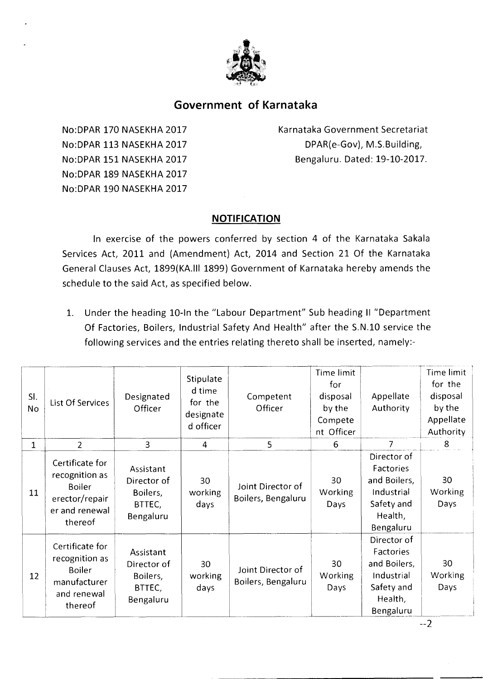

# **Government of Karnataka**

No:DPAR 170 NASEKHA 2017 No:DPAR 113 NASEKHA 2017 No:DPAR 151 NASEKHA 2017 No:DPAR 189 NASEKHA 2017 No:DPAR 190 NASEKHA 2017

Karnataka Government Secretariat DPAR(e-Gov), M.S.Building, Bengaluru. Dated: 19-10-2017.

## **NOTIFICATION**

In exercise of the powers conferred by section 4 of the Karnataka Sakala Services Act, 2011 and (Amendment) Act, 2014 and Section 21 Of the Karnataka General Clauses Act, 1899(KA.III 1899) Government of Karnataka hereby amends the schedule to the said Act, as specified below.

1. Under the heading 10-In the "Labour Department" Sub heading II "Department Of Factories, Boilers, Industrial Safety And Health" after the S.N.10 service the following services and the entries relating thereto shall be inserted, namely:-

| SI.<br>No | List Of Services                                                                                  | Designated<br>Officer                                       | Stipulate<br>d time<br>for the<br>designate<br>d officer | Competent<br>Officer                    | Time limit<br>for<br>disposal<br>by the<br>Compete<br>nt Officer | Appellate<br>Authority                                                                       | Time limit<br>for the<br>disposal<br>by the<br>Appellate<br>Authority |
|-----------|---------------------------------------------------------------------------------------------------|-------------------------------------------------------------|----------------------------------------------------------|-----------------------------------------|------------------------------------------------------------------|----------------------------------------------------------------------------------------------|-----------------------------------------------------------------------|
| 1         | $\overline{2}$                                                                                    | $\overline{3}$                                              | $\overline{4}$                                           | 5                                       | 6                                                                | $\overline{7}$                                                                               | 8                                                                     |
| 11        | Certificate for<br>recognition as<br><b>Boiler</b><br>erector/repair<br>er and renewal<br>thereof | Assistant<br>Director of<br>Boilers,<br>BTTEC,<br>Bengaluru | 30<br>working<br>days                                    | Joint Director of<br>Boilers, Bengaluru | 30<br><b>Working</b><br>Days                                     | Director of<br>Factories<br>and Boilers,<br>Industrial<br>Safety and<br>Health,<br>Bengaluru | 30<br>Working<br>Days                                                 |
| 12        | Certificate for<br>recognition as<br><b>Boiler</b><br>manufacturer<br>and renewal<br>thereof      | Assistant<br>Director of<br>Boilers,<br>BTTEC,<br>Bengaluru | 30<br>working<br>days                                    | Joint Director of<br>Boilers, Bengaluru | 30<br>Working<br>Days                                            | Director of<br>Factories<br>and Boilers,<br>Industrial<br>Safety and<br>Health,<br>Bengaluru | 30<br>Working<br>Days                                                 |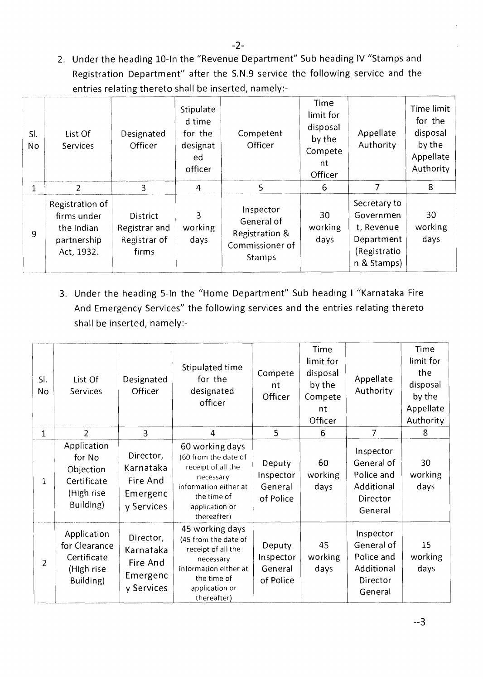2. Under the heading 10-In the "Revenue Department" Sub heading IV "Stamps and Registration Department" after the S.N.9 service the following service and the entries relating thereto shall be inserted, namely:-

| SI.<br>No    | List Of<br><b>Services</b>                                                | Designated<br>Officer                                     | Stipulate<br>d time<br>for the<br>designat<br>ed<br>officer | Competent<br>Officer                                                          | Time<br>limit for<br>disposal<br>by the<br>Compete<br>nt<br>Officer | Appellate<br>Authority                                                               | Time limit<br>for the<br>disposal<br>by the<br>Appellate<br>Authority |
|--------------|---------------------------------------------------------------------------|-----------------------------------------------------------|-------------------------------------------------------------|-------------------------------------------------------------------------------|---------------------------------------------------------------------|--------------------------------------------------------------------------------------|-----------------------------------------------------------------------|
| $\mathbf{1}$ | $\overline{2}$                                                            | 3                                                         | 4                                                           | 5                                                                             | 6                                                                   | 7                                                                                    | 8                                                                     |
| 9            | Registration of<br>firms under<br>the Indian<br>partnership<br>Act, 1932. | <b>District</b><br>Registrar and<br>Registrar of<br>firms | 3<br>working<br>days                                        | Inspector<br>General of<br>Registration &<br>Commissioner of<br><b>Stamps</b> | 30<br>working<br>days                                               | Secretary to<br>Governmen<br>t, Revenue<br>Department<br>(Registratio<br>n & Stamps) | 30<br>working<br>days                                                 |

3. Under the heading 5-In the "Home Department" Sub heading I "Karnataka Fire And Emergency Services" the following services and the entries relating thereto shall be inserted, namely:-

| SI.<br>No      | List Of<br>Services                                                           | Designated<br>Officer                                        | Stipulated time<br>for the<br>designated<br>officer                                                                                                 | Compete<br>nt<br>Officer                    | Time<br>limit for<br>disposal<br>by the<br>Compete<br>nt<br>Officer | Appellate<br>Authority                                                     | Time<br>limit for<br>the<br>disposal<br>by the<br>Appellate<br>Authority |
|----------------|-------------------------------------------------------------------------------|--------------------------------------------------------------|-----------------------------------------------------------------------------------------------------------------------------------------------------|---------------------------------------------|---------------------------------------------------------------------|----------------------------------------------------------------------------|--------------------------------------------------------------------------|
| 1              | $\overline{2}$                                                                | $\overline{3}$                                               | $\overline{4}$                                                                                                                                      | $5^{\circ}$                                 | 6                                                                   | $\overline{7}$                                                             | 8                                                                        |
| 1              | Application<br>for No<br>Objection<br>Certificate<br>(High rise)<br>Building) | Director,<br>Karnataka<br>Fire And<br>Emergenc<br>y Services | 60 working days<br>(60 from the date of<br>receipt of all the<br>necessary<br>information either at<br>the time of<br>application or<br>thereafter) | Deputy<br>Inspector<br>General<br>of Police | 60<br>working<br>days                                               | Inspector<br>General of<br>Police and<br>Additional<br>Director<br>General | 30<br>working<br>days                                                    |
| $\overline{2}$ | Application<br>for Clearance<br>Certificate<br>(High rise<br>Building)        | Director,<br>Karnataka<br>Fire And<br>Emergenc<br>y Services | 45 working days<br>(45 from the date of<br>receipt of all the<br>necessary<br>information either at<br>the time of<br>application or<br>thereafter) | Deputy<br>Inspector<br>General<br>of Police | 45<br>working<br>days                                               | Inspector<br>General of<br>Police and<br>Additional<br>Director<br>General | 15<br>working<br>days                                                    |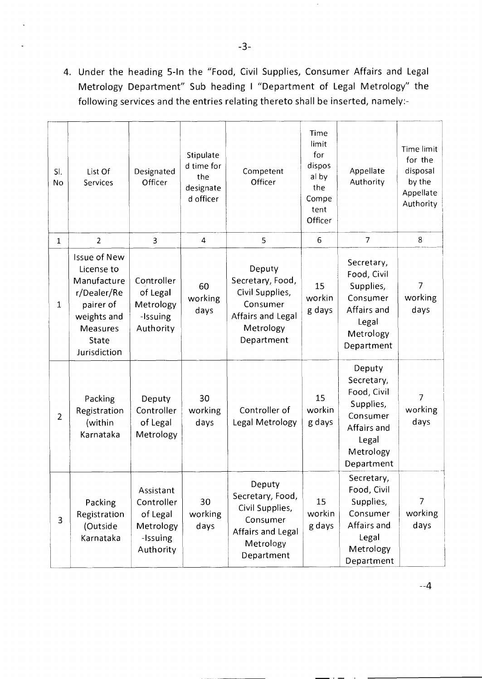4. Under the heading 5-In the "Food, Civil Supplies, Consumer Affairs and Legal Metrology Department" Sub heading I "Department of Legal Metrology" the following services and the entries relating thereto shall be inserted, namely:-

| SI.<br>No      | List Of<br><b>Services</b>                                                                                                       | Designated<br>Officer                                                     | Stipulate<br>d time for<br>the<br>designate<br>d officer | Competent<br>Officer                                                                                      | Time<br>limit<br>for<br>dispos<br>al by<br>the<br>Compe<br>tent<br>Officer | Appellate<br>Authority                                                                                          | Time limit<br>for the<br>disposal<br>by the<br>Appellate<br>Authority |
|----------------|----------------------------------------------------------------------------------------------------------------------------------|---------------------------------------------------------------------------|----------------------------------------------------------|-----------------------------------------------------------------------------------------------------------|----------------------------------------------------------------------------|-----------------------------------------------------------------------------------------------------------------|-----------------------------------------------------------------------|
| $\mathbf{1}$   | $\overline{2}$                                                                                                                   | 3                                                                         | 4                                                        | 5                                                                                                         | 6                                                                          | $\overline{7}$                                                                                                  | 8                                                                     |
| $\mathbf 1$    | <b>Issue of New</b><br>License to<br>Manufacture<br>r/Dealer/Re<br>pairer of<br>weights and<br>Measures<br>State<br>Jurisdiction | Controller<br>of Legal<br>Metrology<br>-Issuing<br>Authority              | 60<br>working<br>days                                    | Deputy<br>Secretary, Food,<br>Civil Supplies,<br>Consumer<br>Affairs and Legal<br>Metrology<br>Department | 15<br>workin<br>g days                                                     | Secretary,<br>Food, Civil<br>Supplies,<br>Consumer<br>Affairs and<br>Legal<br>Metrology<br>Department           | $\overline{7}$<br>working<br>days                                     |
| $\overline{2}$ | Packing<br>Registration<br>(within<br>Karnataka                                                                                  | Deputy<br>Controller<br>of Legal<br>Metrology                             | 30<br>working<br>days                                    | Controller of<br>Legal Metrology                                                                          | 15<br>workin<br>g days                                                     | Deputy<br>Secretary,<br>Food, Civil<br>Supplies,<br>Consumer<br>Affairs and<br>Legal<br>Metrology<br>Department | $\overline{7}$<br>working<br>days                                     |
| 3              | Packing<br>Registration<br>(Outside<br>Karnataka                                                                                 | Assistant<br>Controller<br>of Legal<br>Metrology<br>-Issuing<br>Authority | 30<br>working<br>days                                    | Deputy<br>Secretary, Food,<br>Civil Supplies,<br>Consumer<br>Affairs and Legal<br>Metrology<br>Department | 15<br>workin<br>g days                                                     | Secretary,<br>Food, Civil<br>Supplies,<br>Consumer<br>Affairs and<br>Legal<br>Metrology<br>Department           | 7<br>working<br>days                                                  |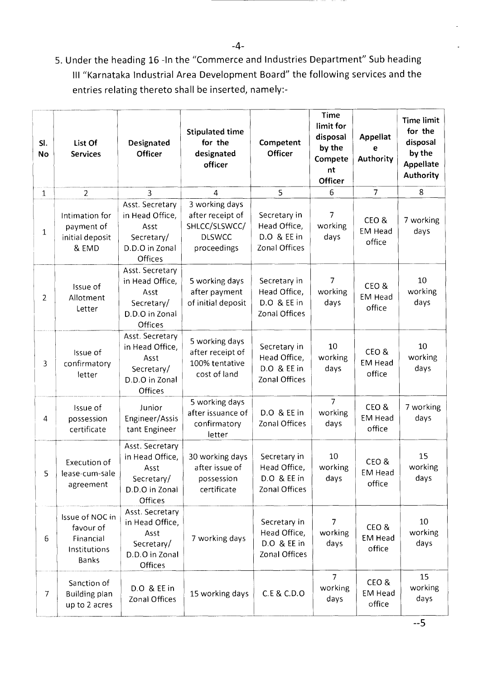5. Under the heading 16 -In the "Commerce and Industries Department" Sub heading III "Karnataka Industrial Area Development Board" the following services and the entries relating thereto shall be inserted, namely:-

| SI.<br><b>No</b> | List Of<br><b>Services</b>                                                | Designated<br>Officer                                                                 | <b>Stipulated time</b><br>for the<br>designated<br>officer                          | Competent<br>Officer                                         | <b>Time</b><br>limit for<br>disposal<br>by the<br>Compete<br>nt<br>Officer | <b>Appellat</b><br>е<br>Authority | <b>Time limit</b><br>for the<br>disposal<br>by the<br>Appellate<br>Authority |
|------------------|---------------------------------------------------------------------------|---------------------------------------------------------------------------------------|-------------------------------------------------------------------------------------|--------------------------------------------------------------|----------------------------------------------------------------------------|-----------------------------------|------------------------------------------------------------------------------|
| $\mathbf{1}$     | $\overline{2}$                                                            | 3                                                                                     | 4                                                                                   | 5                                                            | 6                                                                          | $\overline{7}$                    | 8                                                                            |
| $\mathbf{1}$     | Intimation for<br>payment of<br>initial deposit<br>& EMD                  | Asst. Secretary<br>in Head Office,<br>Asst<br>Secretary/<br>D.D.O in Zonal<br>Offices | 3 working days<br>after receipt of<br>SHLCC/SLSWCC/<br><b>DLSWCC</b><br>proceedings | Secretary in<br>Head Office,<br>D.O & EE in<br>Zonal Offices | 7<br>working<br>days                                                       | CEO&<br><b>EM Head</b><br>office  | 7 working<br>days                                                            |
| $\overline{2}$   | Issue of<br>Allotment<br>Letter                                           | Asst. Secretary<br>in Head Office,<br>Asst<br>Secretary/<br>D.D.O in Zonal<br>Offices | 5 working days<br>after payment<br>of initial deposit                               | Secretary in<br>Head Office,<br>D.O & EE in<br>Zonal Offices | 7<br>working<br>days                                                       | CEO&<br><b>EM Head</b><br>office  | 10<br>working<br>days                                                        |
| 3                | Issue of<br>confirmatory<br>letter                                        | Asst. Secretary<br>in Head Office,<br>Asst<br>Secretary/<br>D.D.O in Zonal<br>Offices | 5 working days<br>after receipt of<br>100% tentative<br>cost of land                | Secretary in<br>Head Office,<br>D.O & EE in<br>Zonal Offices | 10<br>working<br>days                                                      | CEO&<br><b>EM Head</b><br>office  | 10<br>working<br>days                                                        |
| 4                | Issue of<br>possession<br>certificate                                     | Junior<br>Engineer/Assis<br>tant Engineer                                             | 5 working days<br>after issuance of<br>confirmatory<br>letter                       | D.O & EE in<br>Zonal Offices                                 | $\overline{7}$<br>working<br>days                                          | CEO&<br><b>EM Head</b><br>office  | 7 working<br>days                                                            |
| 5                | Execution of<br>lease-cum-sale<br>agreement                               | Asst. Secretary<br>in Head Office,<br>Asst<br>Secretary/<br>D.D.O in Zonal<br>Offices | 30 working days<br>after issue of<br>possession<br>certificate                      | Secretary in<br>Head Office,<br>D.O & EE in<br>Zonal Offices | 10<br>working<br>days                                                      | CEO&<br>EM Head<br>office         | 15<br>working<br>days                                                        |
| 6                | Issue of NOC in<br>favour of<br>Financial<br>Institutions<br><b>Banks</b> | Asst. Secretary<br>in Head Office,<br>Asst<br>Secretary/<br>D.D.O in Zonal<br>Offices | 7 working days                                                                      | Secretary in<br>Head Office,<br>D.O & EE in<br>Zonal Offices | 7<br>working<br>days                                                       | CEO &<br><b>EM Head</b><br>office | 10<br>working<br>days                                                        |
| $\overline{7}$   | Sanction of<br><b>Building plan</b><br>up to 2 acres                      | D.O & EE in<br>Zonal Offices                                                          | 15 working days                                                                     | C.E & C.D.O                                                  | $\overline{7}$<br>working<br>days                                          | CEO&<br><b>EM Head</b><br>office  | 15<br>working<br>days                                                        |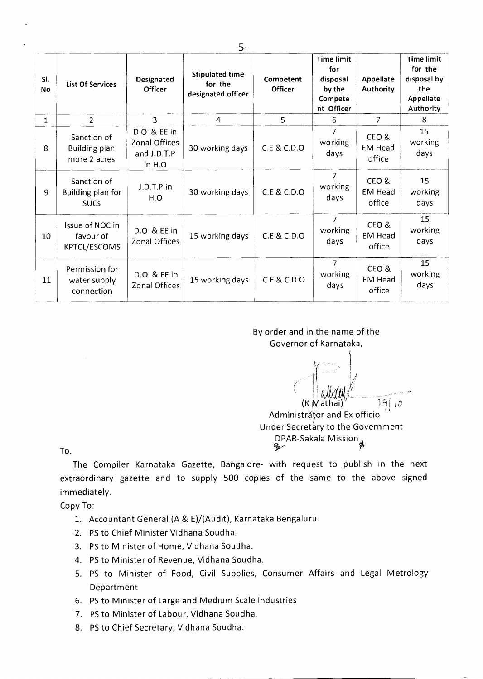| SI.<br><b>No</b> | <b>List Of Services</b>                                                      | Designated<br><b>Officer</b>                          | <b>Stipulated time</b><br>for the<br>designated officer | Competent<br><b>Officer</b> | <b>Time limit</b><br>for<br>disposal<br>by the<br>Compete<br>nt Officer | Appellate<br>Authority           | <b>Time limit</b><br>for the<br>disposal by<br>the<br><b>Appellate</b><br>Authority |
|------------------|------------------------------------------------------------------------------|-------------------------------------------------------|---------------------------------------------------------|-----------------------------|-------------------------------------------------------------------------|----------------------------------|-------------------------------------------------------------------------------------|
| 1                | $\overline{2}$                                                               | 3                                                     | 4                                                       | 5.                          | 6                                                                       | $\overline{7}$                   | 8                                                                                   |
| 8                | Sanction of<br>Building plan<br>more 2 acres                                 | D.O & EE in<br>Zonal Offices<br>and J.D.T.P<br>in H.O | 30 working days                                         | C.E & C.D.O                 | 7<br>working<br>days                                                    | CEO&<br><b>EM Head</b><br>office | 15<br>working<br>days                                                               |
| 9                | Sanction of<br>Building plan for<br><b>SUCs</b>                              | J.D.T.P in<br>H.O                                     | 30 working days                                         | C.E & C.D.O                 | $\overline{7}$<br>working<br>days                                       | CEO&<br><b>EM Head</b><br>office | 15<br>working<br>days                                                               |
| 10               | Issue of NOC in<br>favour of<br>KPTCL/ESCOMS                                 | D.O & EE in<br>Zonal Offices                          | 15 working days                                         | C.E & C.D.O                 | $\overline{7}$<br>working<br>days                                       | CEO&<br><b>EM Head</b><br>office | 15<br>working<br>days                                                               |
| 11               | Permission for<br>D.O & EE in<br>water supply<br>Zonal Offices<br>connection |                                                       | 15 working days                                         | C.E & C.D.O                 | $\overline{7}$<br>working<br>days                                       | CEO&<br><b>EM Head</b><br>office | 15<br>working<br>days                                                               |

By order and in the name of the Governor of Karnataka,

 $(K Mathai)$ <sup>y</sup> 191*0* 

Administrator and Ex officio Under Secretary to the Government DPAR-Sakala Mission

To.

The Compiler Karnataka Gazette, Bangalore- with request to publish in the next extraordinary gazette and to supply 500 copies of the same to the above signed immediately.

Copy To:

- 1. Accountant General (A & E)/(Audit), Karnataka Bengaluru.
- 2. PS to Chief Minister Vidhana Soudha.
- 3. PS to Minister of Home, Vidhana Soudha.
- 4. PS to Minister of Revenue, Vidhana Soudha.
- 5. PS to Minister of Food, Civil Supplies, Consumer Affairs and Legal Metrology Department
- 6. PS to Minister of Large and Medium Scale Industries
- 7. PS to Minister of Labour, Vidhana Soudha.
- 8. PS to Chief Secretary, Vidhana Soudha.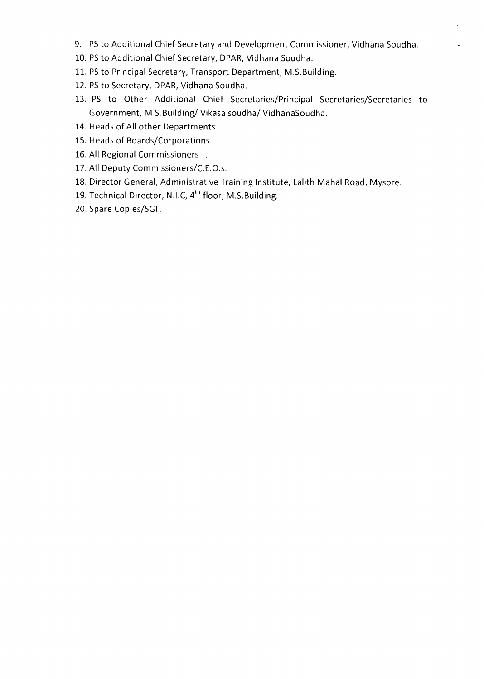- 9. PS to Additional Chief Secretary and Development Commissioner, Vidhana Soudha.
- 10. PS to Additional Chief Secretary, DPAR, Vidhana Soudha.
- 11. PS to Principal Secretary, Transport Department, M.S.Building.
- 12. PS to Secretary, DPAR, Vidhana Soudha.
- 13. PS to Other Additional Chief Secretaries/Principal Secretaries/Secretaries to Government, M.S.Building/ Vikasa soudha/ VidhanaSoudha.
- 14. Heads of All other Departments.
- 15. Heads of Boards/Corporations.
- 16. All Regional Commissioners .
- 17. All Deputy Commissioners/C.E.O.s.
- 18. Director General, Administrative Training Institute, Lalith Mahal Road, Mysore.
- 19. Technical Director, N.I.C, 4<sup>th</sup> floor, M.S.Building.
- 20. Spare Copies/SGF.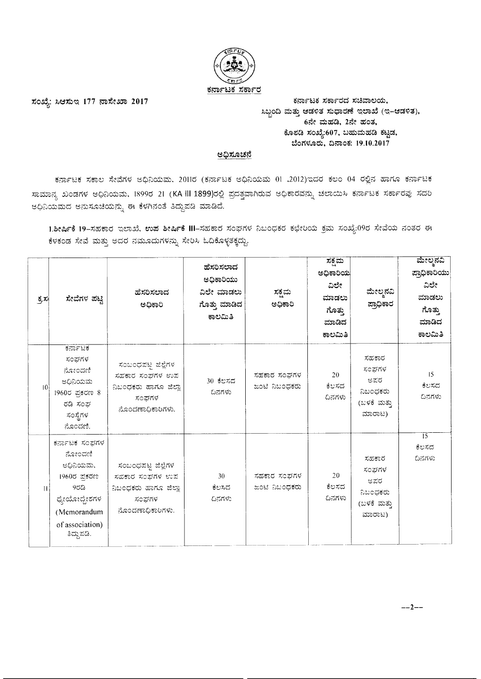

ಸಂಖ್ಯೆ: ಸಿಆಸುಇ 177 ನಾಸೇಖಾ 2017

ಕರ್ನಾಟಕ ಸರ್ಕಾರದ ಸಚಿವಾಲಯ, ಸಿಬ್ಬಂದಿ ಮತ್ತು ಆಡಳಿತ ಸುಧಾರಣೆ ಇಲಾಖೆ (ಇ-ಆಡಳಿತ), 6ನೇ ಮಹಡಿ, 2ನೇ ಹಂತ, ಕೊಠಡಿ ಸಂಖ್ಯೆ:607, ಬಹುಮಹಡಿ ಕಟ್ಟಡ, ಬೆಂಗಳೂರು, ದಿನಾಂಕ: 19.10.2017

### <u>ಅಧಿಸೂಚನೆ</u>

ಕರ್ನಾಟಕ ಸಕಾಲ ಸೇವೆಗಳ ಅಧಿನಿಯಮ. 2011ರ (ಕರ್ನಾಟಕ ಅಧಿನಿಯಮ 01 .2012)ಇದರ ಕಲಂ 04 ರಲ್ಲಿನ ಹಾಗೂ ಕರ್ನಾಟಕ ಸಾಮಾನ್ಯ ಖಂಡಗಳ ಅಧಿನಿಯಮ, 1899ರ 21 (KA III 1899)ರಲ್ಲಿ ಪ್ರದತ್ತವಾಗಿರುವ ಅಧಿಕಾರವನ್ನು ಚಲಾಯಿಸಿ ಕರ್ನಾಟಕ ಸರ್ಕಾರವು ಸದರಿ ಅಧಿನಿಯಮದ ಅನುಸೂಚಿಯನ್ನು ಈ ಕೆಳಗಿನಂತೆ ತಿದ್ದುಪಡಿ ಮಾಡಿದೆ.

1.ಶೀರ್ಷಿಕೆ 19-ಸಹಕಾರ ಇಲಾಖೆ, ಉಪ ಶೀರ್ಷಿಕೆ III-ಸಹಕಾರ ಸಂಘಗಳ ನಿಬಂಧಕರ ಕಛೇರಿಯ ಕ್ರಮ ಸಂಖ್ಯೆ:09ರ ಸೇವೆಯ ನಂತರ ಈ ಕೆಳಕಂಡ ಸೇವೆ ಮತ್ತು ಅದರ ನಮೂದುಗಳನ್ನು ಸೇರಿಸಿ ಓದಿಕೊಳ್ಳತಕ್ಕದ್ದು.

| 호지           | ಸೇವೆಗಳ ಪಟ್ಟಿ                                                                                                                | ಹೆಸರಿಸಲಾದ<br>ಅಧಿಕಾರಿ                                                                      | ಹೆಸರಿಸಲಾದ<br>ಅಧಿಕಾರಿಯು<br>ವಿಲೇ ಮಾಡಲು<br>ಗೊತ್ತು ಮಾಡಿದ<br>ಕಾಲಮಿತಿ | ಸಕ್ಷಮ<br>ಅಧಿಕಾರಿ             | ಸಕ್ಷಮ<br>ಅಧಿಕಾರಿಯ<br>ವಿಲೇ<br>ಮಾಡಲು<br>ಗೊತ್ತು<br>ಮಾಡಿದ<br>ಕಾಲಮಿತಿ | ಮೇಲ್ಶನವಿ<br>ಪ್ರಾಧಿಕಾರ                                      | ಮೇಲ್ತನವಿ<br>ಪ್ರಾಧಿಕಾರಿಯು<br>ವಿಲೇ<br>ಮಾಡಲು<br>ಗೊತ್ತು<br>ಮಾಡಿದ<br>ಕಾಲಮಿತಿ |
|--------------|-----------------------------------------------------------------------------------------------------------------------------|-------------------------------------------------------------------------------------------|-----------------------------------------------------------------|------------------------------|------------------------------------------------------------------|------------------------------------------------------------|-------------------------------------------------------------------------|
| -10          | ಕರ್ನಾಟಕ<br>ಸಂಘಗಳ<br>ನೋಂದಣಿ<br>ಆಧಿನಿಯಮ<br>1960ರ ಪ್ರಕರಣ 8<br>ರಡಿ ಸಂಘ<br>ಸಂಸ್ಥೆಗಳ<br>ನೊಂದಣಿ.                                   | ಸಂಬಂಧಪಟ್ಟ ಜಿಲ್ಲೆಗಳ<br>ಸಹಕಾರ ಸಂಘಗಳ ಉಪ<br>ನಿಬಂಧಕರು ಹಾಗೂ ಜಿಲ್ಲಾ<br>ಸಂಘಗಳ<br>ನೊಂದಣಾಧಿಕಾರಿಗಳು. | 30 ಕೆಲಸದ<br>ದಿನಗಳು                                              | ಸಹಕಾರ ಸಂಘಗಳ<br>ಜಂಟಿ ನಿಬಂಧಕರು | 20<br>ಕೆಲಸದ<br>ದಿನಗಳು                                            | ಸಹಕಾರ<br>ಸಂಘಗಳ<br>ಅಪರ<br>ನಿಬಂಧಕರು<br>(ಬಳಕೆ ಮತ್ತು<br>ಮಾರಾಟ) | 15<br>ಕೆಲಸದ<br>ದಿನಗಳು                                                   |
| $\mathbf{H}$ | ಕರ್ನಾಟಕ ಸಂಘಗಳ<br>ನೋಂದಣಿ<br>ಆಧಿನಿಯಮ,<br>1960ರ ಪ್ರಕರಣ<br>952<br>ಧ್ಯೇಯೋದ್ದೇಶಗಳ<br>(Memorandum<br>of association)<br>ತಿದ್ದುಪಡಿ. | ಸಂಬಂಧಪಟ್ಟ ಜಿಲ್ಲೆಗಳ<br>ಸಹಕಾರ ಸಂಘಗಳ ಉಪ<br>ನಿಬಂಧಕರು ಹಾಗೂ ಜಿಲ್ಲಾ<br>ಸಂಘಗಳ<br>ನೊಂದಣಾಧಿಕಾರಿಗಳು. | 30<br>ಕೆಲಸದ<br>ದಿನಗಳು                                           | ಸಹಕಾರ ಸಂಘಗಳ<br>ಜಂಟಿ ನಿಬಂಧಕರು | 20<br>ಕೆಲಸದ<br>ದಿನಗಳು                                            | ಸಹಕಾರ<br>ಸಂಘಗಳ<br>ಆಪರ<br>ನಿಬಂಧಕರು<br>(ಬಳಕೆ ಮತ್ತು<br>ಮಾರಾಟ) | $\overline{15}$<br>ಕೆಲಸದ<br>ದಿನಗಳು                                      |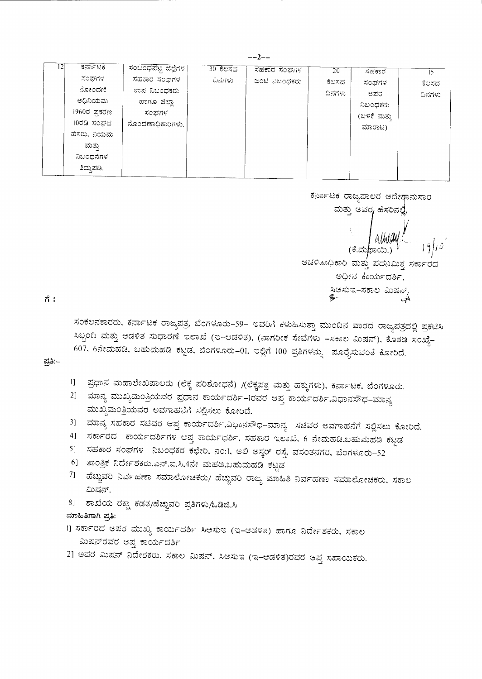| 12 | ಕರ್ನಾಟಕ      | ಸಂಬಂಧಪಟ್ಟ ಜಿಲ್ಲೆಗಳ | 30 ಕೆಲಸದ | ಸಹಕಾರ ಸಂಘಗಳ   | 20     | ಸಹಕಾರ       | 15     |
|----|--------------|--------------------|----------|---------------|--------|-------------|--------|
|    | ಸಂಘಗಳ        | ಸಹಕಾರ ಸಂಪಗಳ        | ದಿನಗಳು   | ಜಂಟಿ ನಿಬಂಧಕರು | ಕೆಲಸದ  | ಸಂಘಗಳ       | ಕೆಲಸದ  |
|    | ನೋಂದಣಿ       | ಉಪ ನಿಬಂಧಕರು        |          |               | ದಿನಗಳು | ಆಪರ         | ದಿನಗಳು |
|    | ಅಧಿನಿಯಮ      | ಹಾಗೂ ಜಿಲ್ಲಾ        |          |               |        | ನಿಬಂಧಕರು    |        |
|    | 1960ರ ಪ್ರಕರಣ | ಸಂಘಗಳ              |          |               |        | (ಬಳಕೆ ಮತ್ತು |        |
|    | 10ರಡಿ ಸಂಘದ   | ನೊಂದಣಾಧಿಕಾರಿಗಳು.   |          |               |        | ಮಾರಾಟ)      |        |
|    | ಹೆಸರು. ನಿಯಮ  |                    |          |               |        |             |        |
|    | ಮತ್ತು        |                    |          |               |        |             |        |
|    | ನಿಬಂಧನೆಗಳ    |                    |          |               |        |             |        |
|    | ತಿದುಪಡಿ.     |                    |          |               |        |             |        |

ಕರ್ನಾಟಕ ರಾಜ್ಯಪಾಲರ ಆದೇಶಾನುಸಾರ ಮತ್ತು ಅವರ<sub>/</sub> ಹೆಸರಿನಲ್ಲೆ, E allución ಆಡಳಿತಾಧಿಕಾರಿ ಮತ್ತು ಪದನಿಮಿತ್ತ ಸರ್ಕಾರದ ಅಧೀನ ಕಾರ್ಯದರ್ಶಿ, ಸಿಆಸುಇ–ಸಕಾಲ ಮಿಷನ್.<br>��

ಗೆ :

ಸಂಕಲನಕಾರರು, ಕರ್ನಾಟಕ ರಾಜ್ಯಪತ್ರ, ಬೆಂಗಳೂರು–59– ಇವರಿಗೆ ಕಳುಹಿಸುತ್ತಾ ಮುಂದಿನ ವಾರದ ರಾಜ್ಯಪತ್ರದಲ್ಲಿ ಪ್ರಕಟಿಸಿ ಸಿಬ್ಬಂದಿ ಮತ್ತು ಆಡಳಿತ ಸುಧಾರಣೆ ಇಲಾಖೆ (ಇ–ಆಡಳಿತ), (ನಾಗರೀಕ ಸೇವೆಗಳು –ಸಕಾಲ ಮಿಷನ್), ಕೊಠಡಿ ಸಂಖ್ಯೆ– 607, 6ನೇಮಹಡಿ, ಬಹುಮಹಡಿ ಕಟ್ಟಡ, ಬೆಂಗಳೂರು-01, ಇಲ್ಲಿಗೆ 100 ಪ್ರತಿಗಳನ್ನು ಪೂರೈಸುವಂತೆ ಕೋರಿದೆ.

ಪ್ರತಿ:–

- ।] ಪ್ರಧಾನ ಮಹಾಲೇಖಪಾಲರು (ಲೆಕ್ಕ ಪರಿಶೋಧನೆ) /(ಲೆಕ್ಕಪತ್ರ ಮತ್ತು ಹಕ್ಕುಗಳು), ಕರ್ನಾಟಕ, ಬೆಂಗಳೂರು.
- 2] ಮಾನ್ಯ ಮುಖ್ಯಮಂತ್ರಿಯವರ ಪ್ರಧಾನ ಕಾರ್ಯದರ್ಶಿ–Iರವರ ಆಪ್ತ ಕಾರ್ಯದರ್ಶಿ,ವಿಧಾನಸೌಧ–ಮಾನ್ಯ ಮುಖ್ಯಮಂತ್ರಿಯವರ ಅವಗಾಹನೆಗೆ ಸಲ್ಲಿಸಲು ಕೋರಿದೆ.
- 3] ಮಾನ್ಯ ಸಹಕಾರ ಸಚಿವರ ಆಪ್ತ ಕಾರ್ಯದರ್ಶಿ,ವಿಧಾನಸೌಧ–ಮಾನ್ಯ ಸಚಿವರ ಅವಗಾಹನೆಗೆ ಸಲ್ಲಿಸಲು ಕೋರಿದೆ.
- 4] ಸರ್ಕಾರದ ಕಾರ್ಯದರ್ಶಿಗಳ ಆಪ್ತ ಕಾರ್ಯಧರ್ಶಿ, ಸಹಕಾರ ಇಲಾಖೆ, 6 ನೇಮಹಡಿ,ಬಹುಮಹಡಿ ಕಟ್ಟಡ
- 5] ಸಹಕಾರ ಸಂಘಗಳ ನಿಬಂಧಕರ ಕಛೇರಿ, ನಂ:1, ಅಲಿ ಅಸ್ಕರ್ ರಸ್ತೆ, ವಸಂತನಗರ, ಬೆಂಗಳೂರು–52
- 6] ತಾಂತ್ರಿಕ ನಿರ್ದೇಶಕರು,ಎನ್.ಐ.ಸಿ,4ನೇ ಮಹಡಿ,ಬಹುಮಹಡಿ ಕಟ್ಟಡ
- 7] ಹೆಚ್ಚುವರಿ ನಿರ್ವಹಣಾ ಸಮಾಲೋಚಕರು/ ಹೆಚ್ಚುವರಿ ರಾಜ್ಯ ಮಾಹಿತಿ ನಿರ್ವಹಣಾ ಸಮಾಲೋಚಕರು, ಸಕಾಲ ಮಿಷನ್.
- 8] ಶಾಖೆಯ ರಕ್ಷಾ ಕಡತ/ಹೆಚ್ಚುವರಿ ಪ್ರತಿಗಳು/ಓಡಿಜಿ.ಸಿ
- ಮಾಹಿತಿಗಾಗಿ ಪ್ರತಿ:
- 1] ಸರ್ಕಾರದ ಅಪರ ಮುಖ್ಯ ಕಾರ್ಯದರ್ಶಿ ಸಿಆಸುಇ (ಇ–ಆಡಳಿತ) ಹಾಗೂ ನಿರ್ದೇಶಕರು, ಸಕಾಲ ಮಿಷನ್**ರವರ ಅಪ್ತ ಕಾರ್ಯದರ್ಶಿ**
- 2] ಅಪರ ಮಿಷನ್ ನಿದೇಶಕರು, ಸಕಾಲ ಮಿಷನ್, ಸಿಆಸುಇ (ಇ-ಆಡಳಿತ)ರವರ ಆಪ್ತ ಸಹಾಯಕರು.

 $-2-$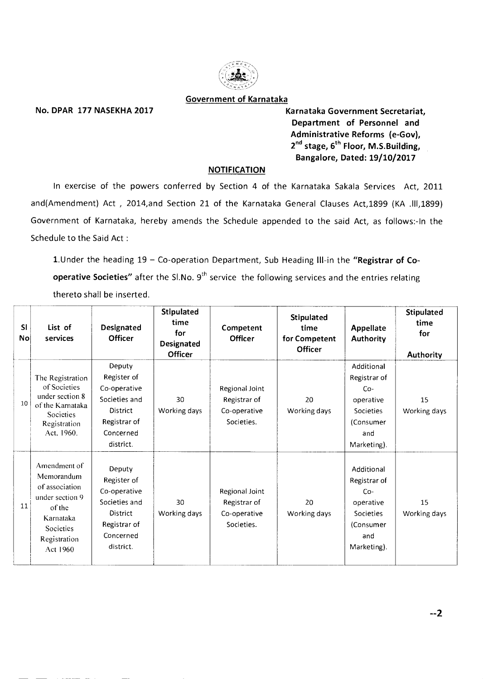

#### **Government of Karnataka**

•

No. DPAR 177 NASEKHA 2017 **Karnataka Government Secretariat**, **Department of Personnel and Administrative Reforms (e-Gov),**  2<sup>nd</sup> stage, 6<sup>th</sup> Floor, M.S.Building, **Bangalore, Dated: 19/10/2017** 

#### **NOTIFICATION**

In exercise of the powers conferred by Section 4 of the Karnataka Sakala Services Act, 2011 and(Amendment) Act , 2014,and Section 21 of the Karnataka General Clauses Act,1899 (KA .111,1899) Government of Karnataka, hereby amends the Schedule appended to the said Act, as follows:-In the Schedule to the Said Act :

1.Under the heading 19 — Co-operation Department, Sub Heading **III-in** the **"Registrar of Cooperative Societies"** after the Sl.No. 9<sup>th</sup> service the following services and the entries relating thereto shall be inserted.

| <b>SI</b><br>No | List of<br>services                                                                                                             | Designated<br><b>Officer</b>                                                                                 | Stipulated<br>time<br>for<br><b>Designated</b><br><b>Officer</b> | Competent<br><b>Officer</b>                                  | Stipulated<br>time<br>for Competent<br>Officer | <b>Appellate</b><br><b>Authority</b>                                                                    | Stipulated<br>time<br>for<br>Authority |
|-----------------|---------------------------------------------------------------------------------------------------------------------------------|--------------------------------------------------------------------------------------------------------------|------------------------------------------------------------------|--------------------------------------------------------------|------------------------------------------------|---------------------------------------------------------------------------------------------------------|----------------------------------------|
| 10              | The Registration<br>of Societies<br>under section 8<br>of the Karnataka<br>Societies<br>Registration<br>Act. 1960.              | Deputy<br>Register of<br>Co-operative<br>Societies and<br>District<br>Registrar of<br>Concerned<br>district. | 30<br>Working days                                               | Regional Joint<br>Registrar of<br>Co-operative<br>Societies. | 20<br>Working days                             | Additional<br>Registrar of<br>Co-<br>operative<br><b>Societies</b><br>(Consumer<br>and<br>Marketing).   | 15<br>Working days                     |
| 11              | Amendment of<br>Memorandum<br>of association<br>under section 9<br>of the<br>Karnataka<br>Societies<br>Registration<br>Act 1960 | Deputy<br>Register of<br>Co-operative<br>Societies and<br>District<br>Registrar of<br>Concerned<br>district. | 30<br>Working days                                               | Regional Joint<br>Registrar of<br>Co-operative<br>Societies. | 20<br>Working days                             | Additional<br>Registrar of<br>$Co-$<br>operative<br><b>Societies</b><br>(Consumer<br>and<br>Marketing). | 15<br>Working days                     |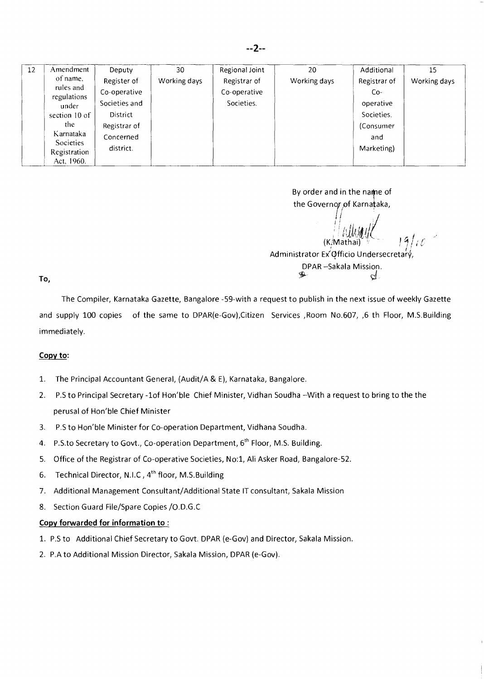| Amendment     | Deputy                                                           | 30           | Regional Joint | 20           | Additional   | 15           |
|---------------|------------------------------------------------------------------|--------------|----------------|--------------|--------------|--------------|
| of name,      | Register of                                                      | Working days | Registrar of   | Working days | Registrar of | Working days |
|               | Co-operative                                                     |              | Co-operative   |              | $Co-$        |              |
| under         | Societies and                                                    |              | Societies.     |              | operative    |              |
| section 10 of | District                                                         |              |                |              | Societies.   |              |
| the.          | Registrar of                                                     |              |                |              | (Consumer    |              |
|               | Concerned                                                        |              |                |              | and          |              |
| Registration  | district.                                                        |              |                |              | Marketing)   |              |
|               | rules and<br>regulations<br>Karnataka<br>Societies<br>Act, 1960. |              |                |              |              |              |

By order and in the name of the Governor of Karnataka,

(K.Mathai) Administrator Ex Officio Undersecretary, DPAR –Sakala Mission.

 $d$ .

To,

The Compiler, Karnataka Gazette, Bangalore -59-with a request to publish in the next issue of weekly Gazette and supply 100 copies of the same to DPAR(e-Gov), Citizen Services , Room No.607, 6 th Floor, M.S.Building immediately.

#### **Copy to:**

- 1. The Principal Accountant General, (Audit/A & E), Karnataka, Bangalore.
- 2. P.S to Principal Secretary -1of Hon'ble Chief Minister, Vidhan Soudha —With a request to bring to the the perusal of Hon'ble Chief Minister
- 3. P.S to Hon'ble Minister for Co-operation Department, Vidhana Soudha.
- 4. P.S.to Secretary to Govt., Co-operation Department, 6<sup>th</sup> Floor, M.S. Building.
- 5. Office of the Registrar of Co-operative Societies, No:1, Ali Asker Road, Bangalore-52.
- 6. Technical Director, N.I.C, 4<sup>th</sup> floor, M.S.Building
- 7. Additional Management Consultant/Additional State IT consultant, Sakala Mission
- 8. Section Guard File/Spare Copies / O.D.G.C

### **Copy forwarded for information to :**

- 1. P.S to Additional Chief Secretary to Govt. DPAR (e-Gov) and Director, Sakala Mission.
- 2. P.A to Additional Mission Director, Sakala Mission, DPAR (e-Gov).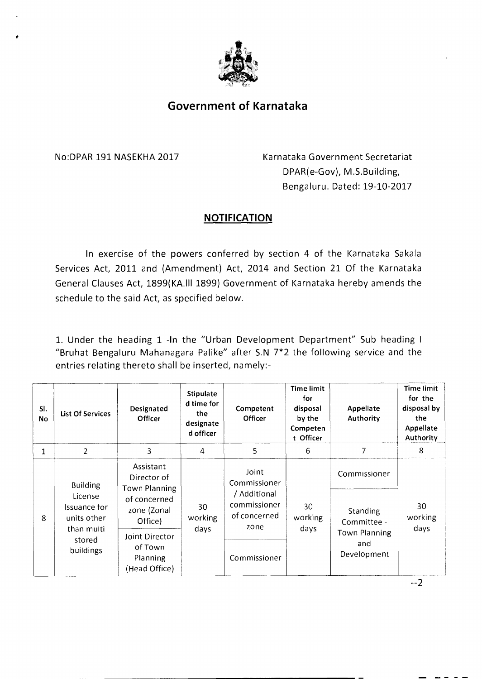

# **Government of Karnataka**

No:DPAR 191 NASEKHA 2017 Karnataka Government Secretariat DPAR(e-Gov), M.S.Building, Bengaluru. Dated: 19-10-2017

# **NOTIFICATION**

In exercise of the powers conferred by section 4 of the Karnataka Sakala Services Act, 2011 and (Amendment) Act, 2014 and Section 21 Of the Karnataka General Clauses Act, 1899(KA.III 1899) Government of Karnataka hereby amends the schedule to the said Act, as specified below.

1. Under the heading 1 -In the "Urban Development Department" Sub heading I "Bruhat Bengaluru Mahanagara Palike" after S.N 7\*2 the following service and the entries relating thereto shall be inserted, namely:-

| SI.<br>No    | <b>List Of Services</b>                                                                        | Designated<br><b>Officer</b>                                                                                 | <b>Stipulate</b><br>d time for<br>the<br>designate<br>d officer | Competent<br>Officer                                 | <b>Time limit</b><br>for<br>disposal<br>by the<br>Competen<br>t Officer | Appellate<br>Authority                     | <b>Time limit</b><br>for the<br>disposal by<br>the<br>Appellate<br>Authority |
|--------------|------------------------------------------------------------------------------------------------|--------------------------------------------------------------------------------------------------------------|-----------------------------------------------------------------|------------------------------------------------------|-------------------------------------------------------------------------|--------------------------------------------|------------------------------------------------------------------------------|
| $\mathbf{1}$ | 2                                                                                              | 3                                                                                                            | 4                                                               | 5                                                    | 6                                                                       | 7                                          | 8                                                                            |
|              | <b>Building</b><br>License<br>Issuance for<br>units other<br>than multi<br>stored<br>buildings | Assistant<br>Director of<br>Town Planning<br>of concerned<br>30<br>zone (Zonal<br>working<br>Office)<br>days |                                                                 | Joint<br>Commissioner                                |                                                                         | Commissioner                               |                                                                              |
| 8            |                                                                                                |                                                                                                              |                                                                 | / Additional<br>commissioner<br>of concerned<br>zone | 30<br>working<br>days                                                   | Standing<br>Committee -                    | 30<br>working                                                                |
|              |                                                                                                | Joint Director<br>of Town<br><b>Planning</b><br>(Head Office)                                                |                                                                 | Commissioner                                         |                                                                         | <b>Town Planning</b><br>and<br>Development | days                                                                         |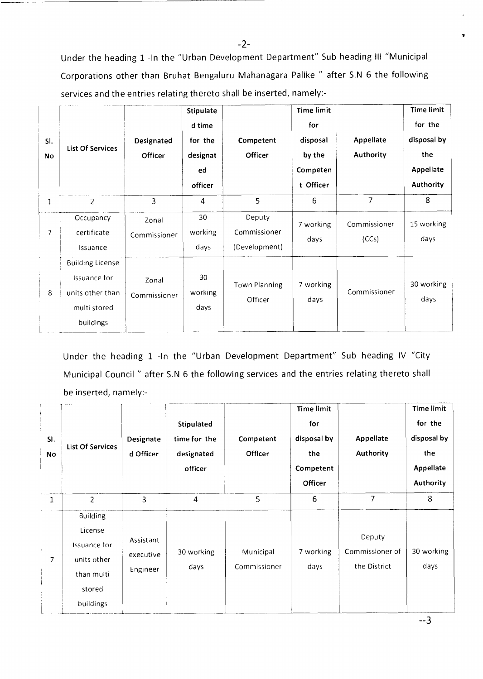Under the heading 1 -In the "Urban Development Department" Sub heading III "Municipal Corporations other than Bruhat Bengaluru Mahanagara Palike " after S.N 6 the following services and the entries relating thereto shall be inserted, namely:-

| SI.<br><b>No</b> | List Of Services                                                                         | Designated<br>Officer | <b>Stipulate</b><br>d time<br>for the<br>designat<br>ed<br>officer | Competent<br>Officer                    | <b>Time limit</b><br>for<br>disposal<br>by the<br>Competen<br>t Officer | <b>Appellate</b><br><b>Authority</b> | <b>Time limit</b><br>for the<br>disposal by<br>the<br>Appellate<br><b>Authority</b> |
|------------------|------------------------------------------------------------------------------------------|-----------------------|--------------------------------------------------------------------|-----------------------------------------|-------------------------------------------------------------------------|--------------------------------------|-------------------------------------------------------------------------------------|
| 1                | 2                                                                                        | 3                     | 4                                                                  | 5                                       | 6                                                                       | 7                                    | 8                                                                                   |
| $\overline{7}$   | Occupancy<br>certificate<br>Issuance                                                     | Zonal<br>Commissioner | 30<br>working<br>days                                              | Deputy<br>Commissioner<br>(Development) | 7 working<br>days                                                       | Commissioner<br>(CCs)                | 15 working<br>days                                                                  |
| 8                | <b>Building License</b><br>Issuance for<br>units other than<br>multi stored<br>buildings | Zonal<br>Commissioner | 30<br>working<br>days                                              | Town Planning<br>Officer                | 7 working<br>days                                                       | Commissioner                         | 30 working<br>days                                                                  |

Under the heading 1 -In the "Urban Development Department" Sub heading IV "City Municipal Council " after S.N 6 the following services and the entries relating thereto shall be inserted, namely:-

| SI.<br><b>No</b> | <b>List Of Services</b>                                                                        | Designate<br>d Officer             | Stipulated<br>time for the<br>designated<br>officer | Competent<br><b>Officer</b> | <b>Time limit</b><br>for<br>disposal by<br>the<br>Competent<br>Officer | Appellate<br>Authority                    | <b>Time limit</b><br>for the<br>disposal by<br>the<br>Appellate<br>Authority |
|------------------|------------------------------------------------------------------------------------------------|------------------------------------|-----------------------------------------------------|-----------------------------|------------------------------------------------------------------------|-------------------------------------------|------------------------------------------------------------------------------|
| $\mathbf{1}$     | $\overline{2}$                                                                                 | 3                                  | 4                                                   | 5                           | 6                                                                      | $\overline{7}$                            | 8                                                                            |
| 7                | <b>Building</b><br>License<br>Issuance for<br>units other<br>than multi<br>stored<br>buildings | Assistant<br>executive<br>Engineer | 30 working<br>days                                  | Municipal<br>Commissioner   | 7 working<br>days                                                      | Deputy<br>Commissioner of<br>the District | 30 working<br>days                                                           |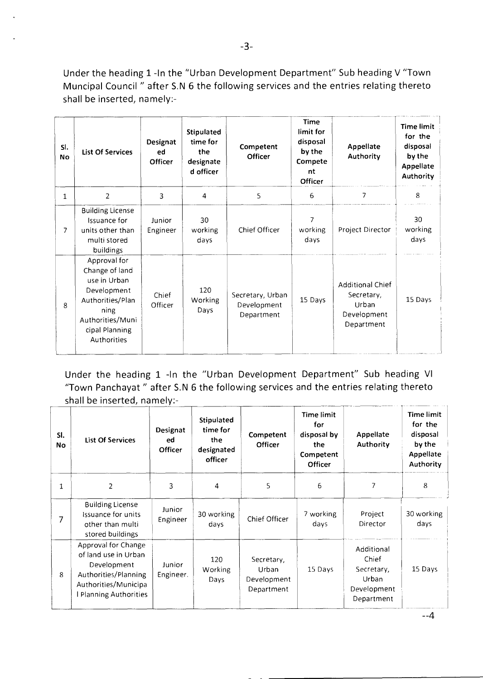Under the heading 1 -In the "Urban Development Department" Sub heading V "Town Muncipal Council " after S.N 6 the following services and the entries relating thereto shall be inserted, namely:-

| SI.<br><b>No</b> | <b>List Of Services</b>                                                                                                                        | Designat<br>ed<br><b>Officer</b> | <b>Stipulated</b><br>time for<br>the<br>designate<br>d officer | Competent<br><b>Officer</b>                   | <b>Time</b><br>limit for<br>disposal<br>by the<br>Compete<br>nt<br>Officer | Appellate<br>Authority                                                      | <b>Time limit</b><br>for the<br>disposal<br>by the<br>Appellate<br>Authority |
|------------------|------------------------------------------------------------------------------------------------------------------------------------------------|----------------------------------|----------------------------------------------------------------|-----------------------------------------------|----------------------------------------------------------------------------|-----------------------------------------------------------------------------|------------------------------------------------------------------------------|
| 1                | 2                                                                                                                                              | 3                                | 4                                                              | 5                                             | 6                                                                          | 7                                                                           | 8                                                                            |
| 7                | <b>Building License</b><br>Issuance for<br>units other than<br>multi stored<br>buildings                                                       | Junior<br>Engineer               | 30<br>working<br>days                                          | Chief Officer                                 | $\overline{7}$<br>working<br>days                                          | Project Director                                                            | 30<br>working<br>days                                                        |
| 8                | Approval for<br>Change of land<br>use in Urban<br>Development<br>Authorities/Plan<br>ning<br>Authorities/Muni<br>cipal Planning<br>Authorities | Chief<br>Officer                 | 120<br><b>Working</b><br>Days                                  | Secretary, Urban<br>Development<br>Department | 15 Days                                                                    | <b>Additional Chief</b><br>Secretary,<br>Urban<br>Development<br>Department | 15 Days                                                                      |

Under the heading 1 -In the "Urban Development Department" Sub heading VI "Town Panchayat " after S.N 6 the following services and the entries relating thereto shall be inserted, namely:-

| SI.<br><b>No</b> | <b>List Of Services</b>                                                                                                                   | Designat<br>ed<br><b>Officer</b> | Stipulated<br>time for<br>the<br>designated<br>officer | Competent<br><b>Officer</b>                      | Time limit<br>for<br>disposal by<br>the<br>Competent<br><b>Officer</b> | Appellate<br>Authority                                                  | Time limit<br>for the<br>disposal<br>by the<br>Appellate<br><b>Authority</b> |
|------------------|-------------------------------------------------------------------------------------------------------------------------------------------|----------------------------------|--------------------------------------------------------|--------------------------------------------------|------------------------------------------------------------------------|-------------------------------------------------------------------------|------------------------------------------------------------------------------|
| 1                | $\overline{2}$                                                                                                                            | 3                                | 4                                                      | 5                                                | 6                                                                      | 7                                                                       | 8                                                                            |
|                  | <b>Building License</b><br>Issuance for units<br>other than multi<br>stored buildings                                                     | Junior<br>Engineer               | 30 working<br>days                                     | Chief Officer                                    | 7 working<br>days                                                      | Project<br>Director                                                     | 30 working<br>days                                                           |
| 8                | Approval for Change<br>of land use in Urban<br>Development<br>Authorities/Planning<br>Authorities/Municipa<br><b>Planning Authorities</b> | Junior<br>Engineer.              | 120<br>Working<br>Days                                 | Secretary,<br>Urban<br>Development<br>Department | 15 Days                                                                | Additional<br>Chief<br>Secretary,<br>Urban<br>Development<br>Department | 15 Days                                                                      |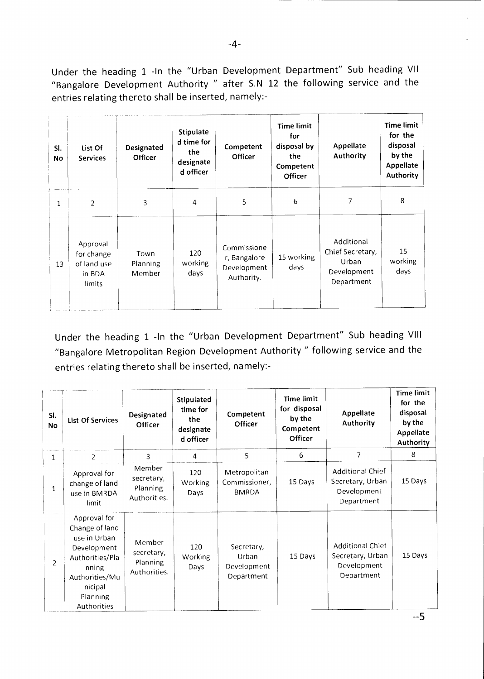Under the heading 1 -In the "Urban Development Department" Sub heading VII "Bangalore Development Authority " after S.N 12 the following service and the entries relating thereto shall be inserted, namely:-

| SI.<br>No    | List Of<br><b>Services</b>                                | Designated<br><b>Officer</b> | Stipulate<br>d time for<br>the<br>designate<br>d officer | Competent<br><b>Officer</b>                              | <b>Time limit</b><br>for<br>disposal by<br>the<br>Competent<br>Officer | Appellate<br>Authority                                               | <b>Time limit</b><br>for the<br>disposal<br>by the<br>Appellate<br><b>Authority</b> |
|--------------|-----------------------------------------------------------|------------------------------|----------------------------------------------------------|----------------------------------------------------------|------------------------------------------------------------------------|----------------------------------------------------------------------|-------------------------------------------------------------------------------------|
| $\mathbf{1}$ | 2                                                         | 3                            | 4                                                        | 5                                                        | 6                                                                      | 7                                                                    | 8                                                                                   |
| 13           | Approval<br>for change<br>of land use<br>in BDA<br>limits | Town<br>Planning<br>Member   | 120<br>working<br>days                                   | Commissione<br>r, Bangalore<br>Development<br>Authority. | 15 working<br>days                                                     | Additional<br>Chief Secretary,<br>Urban<br>Development<br>Department | 15<br>working<br>days                                                               |

Under the heading 1 -In the "Urban Development Department" Sub heading VIII "Bangalore Metropolitan Region Development Authority " following service and the entries relating thereto shall be inserted, namely:-

| SI.<br><b>No</b> | <b>List Of Services</b>                                                                                                                           | Designated<br>Officer                            | Stipulated<br>time for<br>the<br>designate<br>d officer | Competent<br>Officer                             | Time limit<br>for disposal<br>by the<br>Competent<br>Officer | Appellate<br><b>Authority</b>                                            | <b>Time limit</b><br>for the<br>disposal<br>by the<br>Appellate<br><b>Authority</b> |
|------------------|---------------------------------------------------------------------------------------------------------------------------------------------------|--------------------------------------------------|---------------------------------------------------------|--------------------------------------------------|--------------------------------------------------------------|--------------------------------------------------------------------------|-------------------------------------------------------------------------------------|
| $\mathbf{1}$     | 2                                                                                                                                                 | 3                                                | $\overline{4}$                                          | 5                                                | 6                                                            | 7                                                                        | 8                                                                                   |
| $\mathbf{1}$     | Approval for<br>change of land<br>use in BMRDA<br>limit.                                                                                          | Member<br>secretary,<br>Planning<br>Authorities. | 120<br>Working<br>Days                                  | Metropolitan<br>Commissioner,<br><b>BMRDA</b>    | 15 Days                                                      | <b>Additional Chief</b><br>Secretary, Urban<br>Development<br>Department | 15 Days                                                                             |
| $\overline{2}$   | Approval for<br>Change of land<br>use in Urban<br>Development<br>Authorities/Pla<br>nning<br>Authorities/Mu<br>nicipal<br>Planning<br>Authorities | Member<br>secretary,<br>Planning<br>Authorities. | 120<br>Working<br>Days                                  | Secretary,<br>Urban<br>Development<br>Department | 15 Days                                                      | <b>Additional Chief</b><br>Secretary, Urban<br>Development<br>Department | 15 Days                                                                             |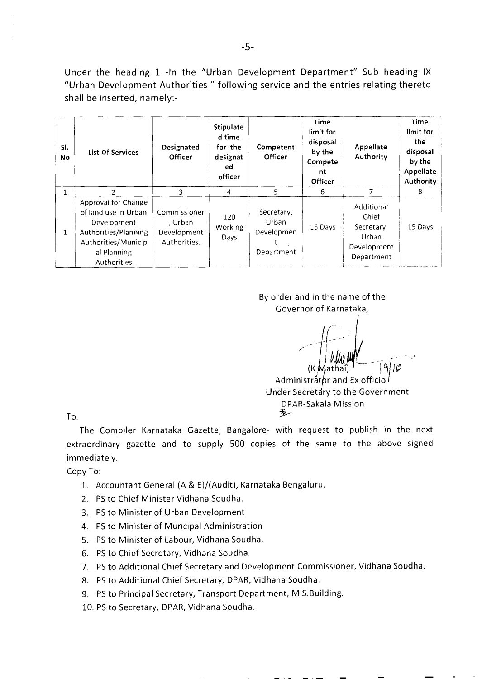Under the heading 1 -In the "Urban Development Department" Sub heading IX "Urban Development Authorities " following service and the entries relating thereto shall be inserted, namely:-

| SI.<br>No | <b>List Of Services</b>                                                                                                                 | Designated<br><b>Officer</b>                           | <b>Stipulate</b><br>d time<br>for the<br>designat<br>ed<br>officer | Competent<br><b>Officer</b>                     | Time<br>limit for<br>disposal<br>by the<br>Compete<br>nt<br><b>Officer</b> | Appellate<br>Authority                                                  | <b>Time</b><br>limit for<br>the<br>disposal<br>by the<br>Appellate<br>Authority |
|-----------|-----------------------------------------------------------------------------------------------------------------------------------------|--------------------------------------------------------|--------------------------------------------------------------------|-------------------------------------------------|----------------------------------------------------------------------------|-------------------------------------------------------------------------|---------------------------------------------------------------------------------|
|           |                                                                                                                                         | 3                                                      | 4                                                                  | $5^{\circ}$                                     | 6                                                                          |                                                                         | 8                                                                               |
| 1         | Approval for Change<br>of land use in Urban<br>Development<br>Authorities/Planning<br>Authorities/Municip<br>al Planning<br>Authorities | Commissioner<br>. Urban<br>Development<br>Authorities. | 120<br>Working<br>Days                                             | Secretary,<br>Urban<br>Developmen<br>Department | 15 Days                                                                    | Additional<br>Chief<br>Secretary,<br>Urban<br>Development<br>Department | 15 Days                                                                         |

By order and in the name of the Governor of Karnataka,

(K Mathai)

Administrator and Ex officio Under Secretary to the Government DPAR-Sakala Mission

To.

The Compiler Karnataka Gazette, Bangalore- with request to publish in the next extraordinary gazette and to supply 500 copies of the same to the above signed immediately.

Copy To:

- 1. Accountant General (A & E)/(Audit), Karnataka Bengaluru.
- 2. PS to Chief Minister Vidhana Soudha.
- 3. PS to Minister of Urban Development
- 4. PS to Minister of Muncipal Administration
- 5. PS to Minister of Labour, Vidhana Soudha.
- 6. PS to Chief Secretary, Vidhana Soudha.
- 7. PS to Additional Chief Secretary and Development Commissioner, Vidhana Soudha.
- 8. PS to Additional Chief Secretary, DPAR, Vidhana Soudha.
- 9. PS to Principal Secretary, Transport Department, M.S.Building.
- 10. PS to Secretary, DPAR, Vidhana Soudha.